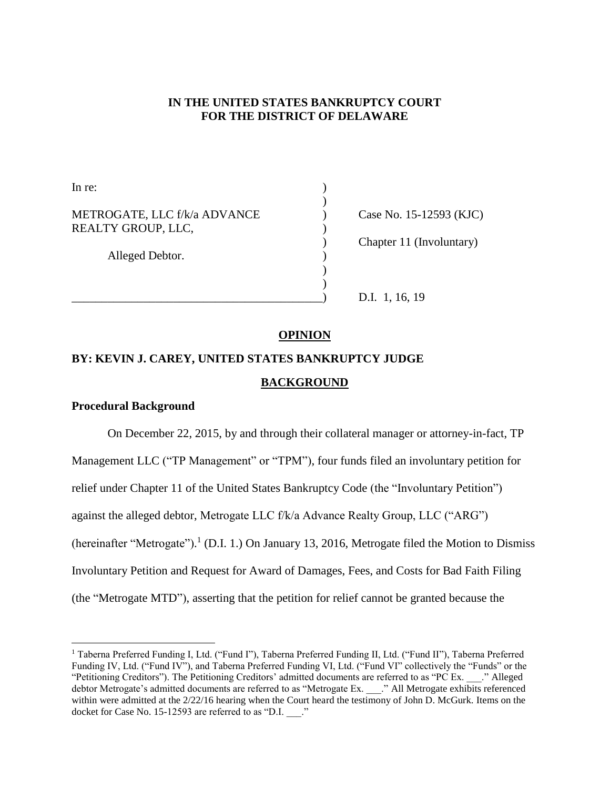# **IN THE UNITED STATES BANKRUPTCY COURT FOR THE DISTRICT OF DELAWARE**

In re:  $\qquad \qquad$ ) ) METROGATE, LLC f/k/a ADVANCE (ase No. 15-12593 (KJC) REALTY GROUP, LLC, Alleged Debtor. (1) ) )

) Chapter 11 (Involuntary)

D.I. 1, 16, 19

# **OPINION**

# **BY: KEVIN J. CAREY, UNITED STATES BANKRUPTCY JUDGE BACKGROUND**

# **Procedural Background**

l

On December 22, 2015, by and through their collateral manager or attorney-in-fact, TP Management LLC ("TP Management" or "TPM"), four funds filed an involuntary petition for relief under Chapter 11 of the United States Bankruptcy Code (the "Involuntary Petition") against the alleged debtor, Metrogate LLC f/k/a Advance Realty Group, LLC ("ARG") (hereinafter "Metrogate").<sup>1</sup> (D.I. 1.) On January 13, 2016, Metrogate filed the Motion to Dismiss Involuntary Petition and Request for Award of Damages, Fees, and Costs for Bad Faith Filing (the "Metrogate MTD"), asserting that the petition for relief cannot be granted because the

<sup>1</sup> Taberna Preferred Funding I, Ltd. ("Fund I"), Taberna Preferred Funding II, Ltd. ("Fund II"), Taberna Preferred Funding IV, Ltd. ("Fund IV"), and Taberna Preferred Funding VI, Ltd. ("Fund VI" collectively the "Funds" or the "Petitioning Creditors"). The Petitioning Creditors' admitted documents are referred to as "PC Ex. \_\_\_." Alleged debtor Metrogate's admitted documents are referred to as "Metrogate Ex. \_\_\_." All Metrogate exhibits referenced within were admitted at the 2/22/16 hearing when the Court heard the testimony of John D. McGurk. Items on the docket for Case No. 15-12593 are referred to as "D.I.  $\therefore$ "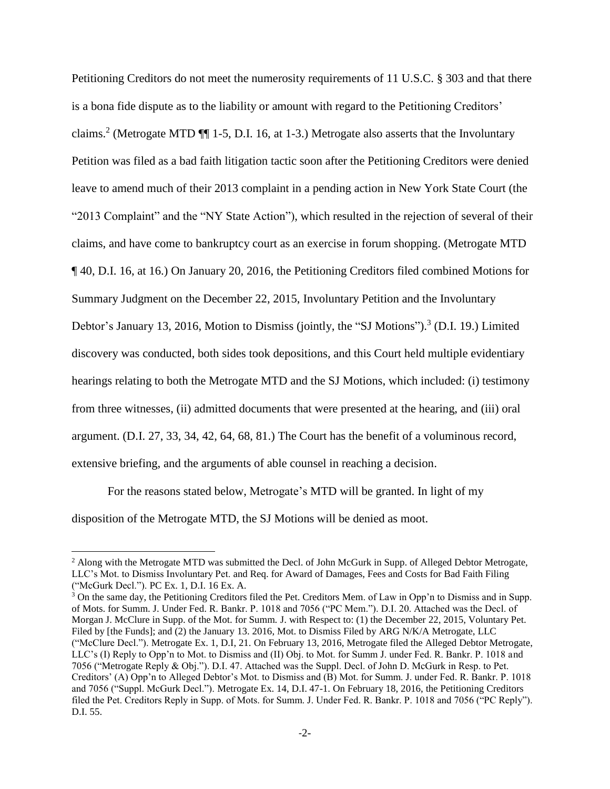Petitioning Creditors do not meet the numerosity requirements of 11 U.S.C. § 303 and that there is a bona fide dispute as to the liability or amount with regard to the Petitioning Creditors' claims.<sup>2</sup> (Metrogate MTD ¶¶ 1-5, D.I. 16, at 1-3.) Metrogate also asserts that the Involuntary Petition was filed as a bad faith litigation tactic soon after the Petitioning Creditors were denied leave to amend much of their 2013 complaint in a pending action in New York State Court (the "2013 Complaint" and the "NY State Action"), which resulted in the rejection of several of their claims, and have come to bankruptcy court as an exercise in forum shopping. (Metrogate MTD ¶ 40, D.I. 16, at 16.) On January 20, 2016, the Petitioning Creditors filed combined Motions for Summary Judgment on the December 22, 2015, Involuntary Petition and the Involuntary Debtor's January 13, 2016, Motion to Dismiss (jointly, the "SJ Motions").<sup>3</sup> (D.I. 19.) Limited discovery was conducted, both sides took depositions, and this Court held multiple evidentiary hearings relating to both the Metrogate MTD and the SJ Motions, which included: (i) testimony from three witnesses, (ii) admitted documents that were presented at the hearing, and (iii) oral argument. (D.I. 27, 33, 34, 42, 64, 68, 81.) The Court has the benefit of a voluminous record, extensive briefing, and the arguments of able counsel in reaching a decision.

For the reasons stated below, Metrogate's MTD will be granted. In light of my disposition of the Metrogate MTD, the SJ Motions will be denied as moot.

<sup>&</sup>lt;sup>2</sup> Along with the Metrogate MTD was submitted the Decl. of John McGurk in Supp. of Alleged Debtor Metrogate, LLC's Mot. to Dismiss Involuntary Pet. and Req. for Award of Damages, Fees and Costs for Bad Faith Filing ("McGurk Decl."). PC Ex. 1, D.I. 16 Ex. A.

<sup>&</sup>lt;sup>3</sup> On the same day, the Petitioning Creditors filed the Pet. Creditors Mem. of Law in Opp'n to Dismiss and in Supp. of Mots. for Summ. J. Under Fed. R. Bankr. P. 1018 and 7056 ("PC Mem."). D.I. 20. Attached was the Decl. of Morgan J. McClure in Supp. of the Mot. for Summ. J. with Respect to: (1) the December 22, 2015, Voluntary Pet. Filed by [the Funds]; and (2) the January 13. 2016, Mot. to Dismiss Filed by ARG N/K/A Metrogate, LLC ("McClure Decl."). Metrogate Ex. 1, D.I, 21. On February 13, 2016, Metrogate filed the Alleged Debtor Metrogate, LLC's (I) Reply to Opp'n to Mot. to Dismiss and (II) Obj. to Mot. for Summ J. under Fed. R. Bankr. P. 1018 and 7056 ("Metrogate Reply & Obj."). D.I. 47. Attached was the Suppl. Decl. of John D. McGurk in Resp. to Pet. Creditors' (A) Opp'n to Alleged Debtor's Mot. to Dismiss and (B) Mot. for Summ. J. under Fed. R. Bankr. P. 1018 and 7056 ("Suppl. McGurk Decl."). Metrogate Ex. 14, D.I. 47-1. On February 18, 2016, the Petitioning Creditors filed the Pet. Creditors Reply in Supp. of Mots. for Summ. J. Under Fed. R. Bankr. P. 1018 and 7056 ("PC Reply"). D.I. 55.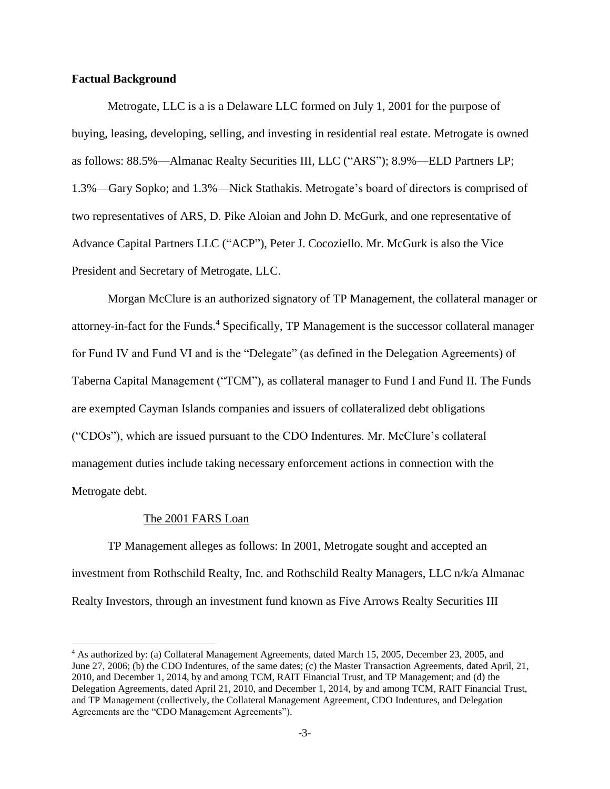#### **Factual Background**

Metrogate, LLC is a is a Delaware LLC formed on July 1, 2001 for the purpose of buying, leasing, developing, selling, and investing in residential real estate. Metrogate is owned as follows: 88.5%—Almanac Realty Securities III, LLC ("ARS"); 8.9%—ELD Partners LP; 1.3%—Gary Sopko; and 1.3%—Nick Stathakis. Metrogate's board of directors is comprised of two representatives of ARS, D. Pike Aloian and John D. McGurk, and one representative of Advance Capital Partners LLC ("ACP"), Peter J. Cocoziello. Mr. McGurk is also the Vice President and Secretary of Metrogate, LLC.

Morgan McClure is an authorized signatory of TP Management, the collateral manager or attorney-in-fact for the Funds. <sup>4</sup> Specifically, TP Management is the successor collateral manager for Fund IV and Fund VI and is the "Delegate" (as defined in the Delegation Agreements) of Taberna Capital Management ("TCM"), as collateral manager to Fund I and Fund II. The Funds are exempted Cayman Islands companies and issuers of collateralized debt obligations ("CDOs"), which are issued pursuant to the CDO Indentures. Mr. McClure's collateral management duties include taking necessary enforcement actions in connection with the Metrogate debt.

#### The 2001 FARS Loan

l

TP Management alleges as follows: In 2001, Metrogate sought and accepted an investment from Rothschild Realty, Inc. and Rothschild Realty Managers, LLC n/k/a Almanac Realty Investors, through an investment fund known as Five Arrows Realty Securities III

<sup>4</sup> As authorized by: (a) Collateral Management Agreements, dated March 15, 2005, December 23, 2005, and June 27, 2006; (b) the CDO Indentures, of the same dates; (c) the Master Transaction Agreements, dated April, 21, 2010, and December 1, 2014, by and among TCM, RAIT Financial Trust, and TP Management; and (d) the Delegation Agreements, dated April 21, 2010, and December 1, 2014, by and among TCM, RAIT Financial Trust, and TP Management (collectively, the Collateral Management Agreement, CDO Indentures, and Delegation Agreements are the "CDO Management Agreements").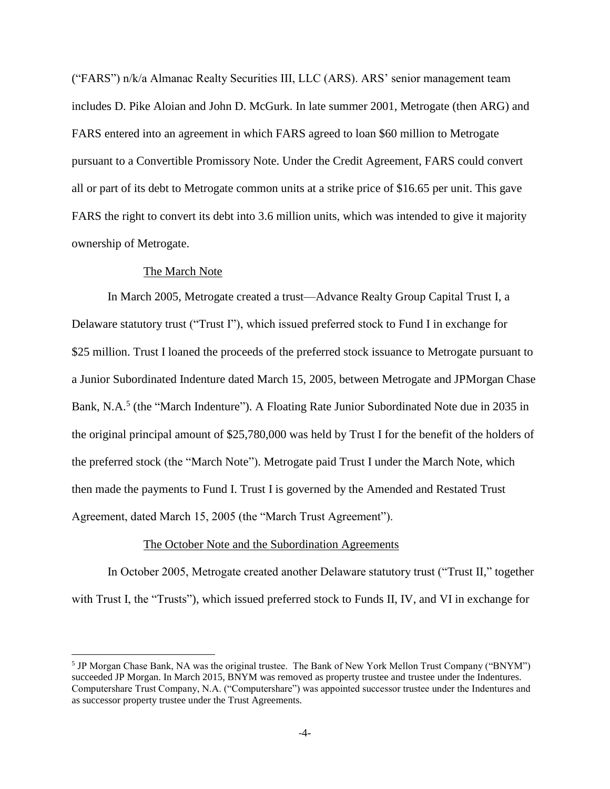("FARS") n/k/a Almanac Realty Securities III, LLC (ARS). ARS' senior management team includes D. Pike Aloian and John D. McGurk. In late summer 2001, Metrogate (then ARG) and FARS entered into an agreement in which FARS agreed to loan \$60 million to Metrogate pursuant to a Convertible Promissory Note. Under the Credit Agreement, FARS could convert all or part of its debt to Metrogate common units at a strike price of \$16.65 per unit. This gave FARS the right to convert its debt into 3.6 million units, which was intended to give it majority ownership of Metrogate.

### The March Note

 $\overline{a}$ 

In March 2005, Metrogate created a trust—Advance Realty Group Capital Trust I, a Delaware statutory trust ("Trust I"), which issued preferred stock to Fund I in exchange for \$25 million. Trust I loaned the proceeds of the preferred stock issuance to Metrogate pursuant to a Junior Subordinated Indenture dated March 15, 2005, between Metrogate and JPMorgan Chase Bank, N.A.<sup>5</sup> (the "March Indenture"). A Floating Rate Junior Subordinated Note due in 2035 in the original principal amount of \$25,780,000 was held by Trust I for the benefit of the holders of the preferred stock (the "March Note"). Metrogate paid Trust I under the March Note, which then made the payments to Fund I. Trust I is governed by the Amended and Restated Trust Agreement, dated March 15, 2005 (the "March Trust Agreement").

## The October Note and the Subordination Agreements

In October 2005, Metrogate created another Delaware statutory trust ("Trust II," together with Trust I, the "Trusts"), which issued preferred stock to Funds II, IV, and VI in exchange for

<sup>&</sup>lt;sup>5</sup> JP Morgan Chase Bank, NA was the original trustee. The Bank of New York Mellon Trust Company ("BNYM") succeeded JP Morgan. In March 2015, BNYM was removed as property trustee and trustee under the Indentures. Computershare Trust Company, N.A. ("Computershare") was appointed successor trustee under the Indentures and as successor property trustee under the Trust Agreements.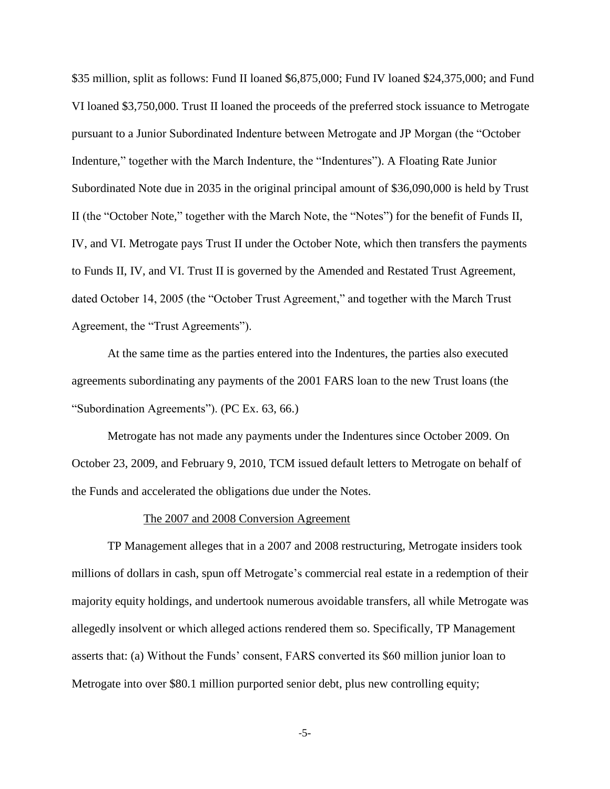\$35 million, split as follows: Fund II loaned \$6,875,000; Fund IV loaned \$24,375,000; and Fund VI loaned \$3,750,000. Trust II loaned the proceeds of the preferred stock issuance to Metrogate pursuant to a Junior Subordinated Indenture between Metrogate and JP Morgan (the "October Indenture," together with the March Indenture, the "Indentures"). A Floating Rate Junior Subordinated Note due in 2035 in the original principal amount of \$36,090,000 is held by Trust II (the "October Note," together with the March Note, the "Notes") for the benefit of Funds II, IV, and VI. Metrogate pays Trust II under the October Note, which then transfers the payments to Funds II, IV, and VI. Trust II is governed by the Amended and Restated Trust Agreement, dated October 14, 2005 (the "October Trust Agreement," and together with the March Trust Agreement, the "Trust Agreements").

At the same time as the parties entered into the Indentures, the parties also executed agreements subordinating any payments of the 2001 FARS loan to the new Trust loans (the "Subordination Agreements"). (PC Ex. 63, 66.)

Metrogate has not made any payments under the Indentures since October 2009. On October 23, 2009, and February 9, 2010, TCM issued default letters to Metrogate on behalf of the Funds and accelerated the obligations due under the Notes.

#### The 2007 and 2008 Conversion Agreement

TP Management alleges that in a 2007 and 2008 restructuring, Metrogate insiders took millions of dollars in cash, spun off Metrogate's commercial real estate in a redemption of their majority equity holdings, and undertook numerous avoidable transfers, all while Metrogate was allegedly insolvent or which alleged actions rendered them so. Specifically, TP Management asserts that: (a) Without the Funds' consent, FARS converted its \$60 million junior loan to Metrogate into over \$80.1 million purported senior debt, plus new controlling equity;

-5-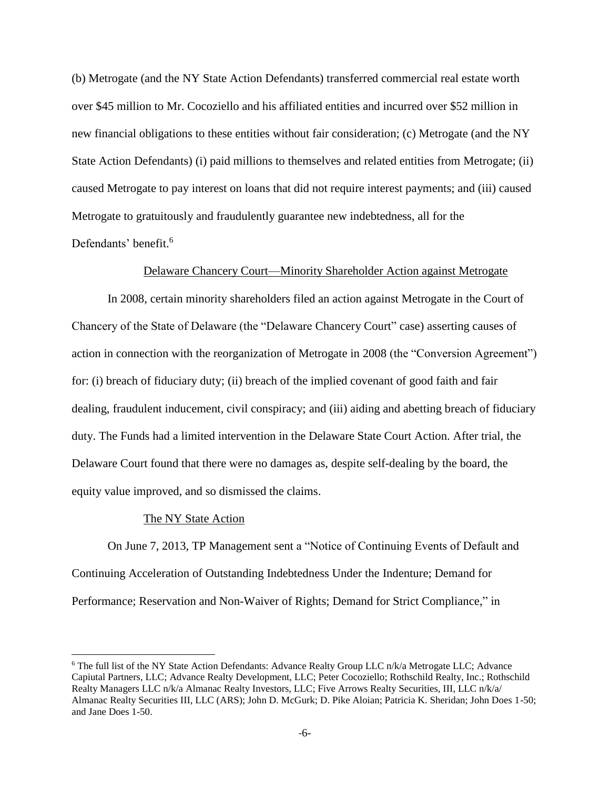(b) Metrogate (and the NY State Action Defendants) transferred commercial real estate worth over \$45 million to Mr. Cocoziello and his affiliated entities and incurred over \$52 million in new financial obligations to these entities without fair consideration; (c) Metrogate (and the NY State Action Defendants) (i) paid millions to themselves and related entities from Metrogate; (ii) caused Metrogate to pay interest on loans that did not require interest payments; and (iii) caused Metrogate to gratuitously and fraudulently guarantee new indebtedness, all for the Defendants' benefit.<sup>6</sup>

## Delaware Chancery Court—Minority Shareholder Action against Metrogate

In 2008, certain minority shareholders filed an action against Metrogate in the Court of Chancery of the State of Delaware (the "Delaware Chancery Court" case) asserting causes of action in connection with the reorganization of Metrogate in 2008 (the "Conversion Agreement") for: (i) breach of fiduciary duty; (ii) breach of the implied covenant of good faith and fair dealing, fraudulent inducement, civil conspiracy; and (iii) aiding and abetting breach of fiduciary duty. The Funds had a limited intervention in the Delaware State Court Action. After trial, the Delaware Court found that there were no damages as, despite self-dealing by the board, the equity value improved, and so dismissed the claims.

#### The NY State Action

 $\overline{a}$ 

On June 7, 2013, TP Management sent a "Notice of Continuing Events of Default and Continuing Acceleration of Outstanding Indebtedness Under the Indenture; Demand for Performance; Reservation and Non-Waiver of Rights; Demand for Strict Compliance," in

 $6$  The full list of the NY State Action Defendants: Advance Realty Group LLC  $n/k/a$  Metrogate LLC; Advance Capiutal Partners, LLC; Advance Realty Development, LLC; Peter Cocoziello; Rothschild Realty, Inc.; Rothschild Realty Managers LLC n/k/a Almanac Realty Investors, LLC; Five Arrows Realty Securities, III, LLC n/k/a/ Almanac Realty Securities III, LLC (ARS); John D. McGurk; D. Pike Aloian; Patricia K. Sheridan; John Does 1-50; and Jane Does 1-50.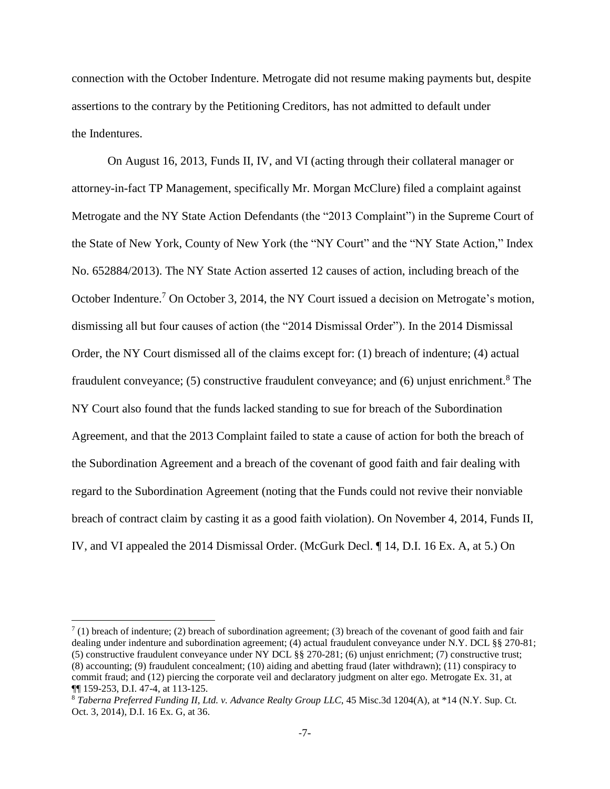connection with the October Indenture. Metrogate did not resume making payments but, despite assertions to the contrary by the Petitioning Creditors, has not admitted to default under the Indentures.

On August 16, 2013, Funds II, IV, and VI (acting through their collateral manager or attorney-in-fact TP Management, specifically Mr. Morgan McClure) filed a complaint against Metrogate and the NY State Action Defendants (the "2013 Complaint") in the Supreme Court of the State of New York, County of New York (the "NY Court" and the "NY State Action," Index No. 652884/2013). The NY State Action asserted 12 causes of action, including breach of the October Indenture.<sup>7</sup> On October 3, 2014, the NY Court issued a decision on Metrogate's motion, dismissing all but four causes of action (the "2014 Dismissal Order"). In the 2014 Dismissal Order, the NY Court dismissed all of the claims except for: (1) breach of indenture; (4) actual fraudulent conveyance; (5) constructive fraudulent conveyance; and (6) unjust enrichment.<sup>8</sup> The NY Court also found that the funds lacked standing to sue for breach of the Subordination Agreement, and that the 2013 Complaint failed to state a cause of action for both the breach of the Subordination Agreement and a breach of the covenant of good faith and fair dealing with regard to the Subordination Agreement (noting that the Funds could not revive their nonviable breach of contract claim by casting it as a good faith violation). On November 4, 2014, Funds II, IV, and VI appealed the 2014 Dismissal Order. (McGurk Decl. ¶ 14, D.I. 16 Ex. A, at 5.) On

 $7(1)$  breach of indenture; (2) breach of subordination agreement; (3) breach of the covenant of good faith and fair dealing under indenture and subordination agreement; (4) actual fraudulent conveyance under N.Y. DCL §§ 270-81; (5) constructive fraudulent conveyance under NY DCL §§ 270-281; (6) unjust enrichment; (7) constructive trust; (8) accounting; (9) fraudulent concealment; (10) aiding and abetting fraud (later withdrawn); (11) conspiracy to commit fraud; and (12) piercing the corporate veil and declaratory judgment on alter ego. Metrogate Ex. 31, at ¶¶ 159-253, D.I. 47-4, at 113-125.

<sup>8</sup> *Taberna Preferred Funding II, Ltd. v. Advance Realty Group LLC*, 45 Misc.3d 1204(A), at \*14 (N.Y. Sup. Ct. Oct. 3, 2014), D.I. 16 Ex. G, at 36.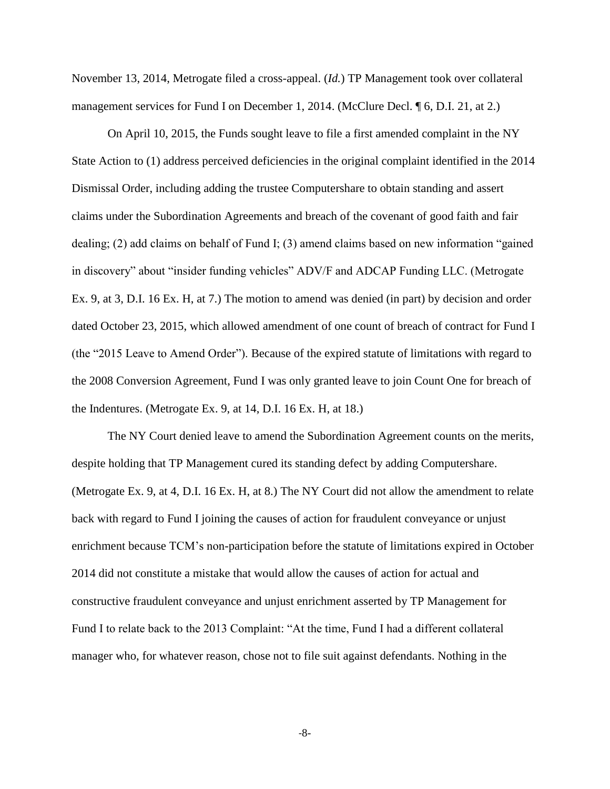November 13, 2014, Metrogate filed a cross-appeal. (*Id.*) TP Management took over collateral management services for Fund I on December 1, 2014. (McClure Decl. 16, D.I. 21, at 2.)

On April 10, 2015, the Funds sought leave to file a first amended complaint in the NY State Action to (1) address perceived deficiencies in the original complaint identified in the 2014 Dismissal Order, including adding the trustee Computershare to obtain standing and assert claims under the Subordination Agreements and breach of the covenant of good faith and fair dealing; (2) add claims on behalf of Fund I; (3) amend claims based on new information "gained in discovery" about "insider funding vehicles" ADV/F and ADCAP Funding LLC. (Metrogate Ex. 9, at 3, D.I. 16 Ex. H, at 7.) The motion to amend was denied (in part) by decision and order dated October 23, 2015, which allowed amendment of one count of breach of contract for Fund I (the "2015 Leave to Amend Order"). Because of the expired statute of limitations with regard to the 2008 Conversion Agreement, Fund I was only granted leave to join Count One for breach of the Indentures. (Metrogate Ex. 9, at 14, D.I. 16 Ex. H, at 18.)

The NY Court denied leave to amend the Subordination Agreement counts on the merits, despite holding that TP Management cured its standing defect by adding Computershare. (Metrogate Ex. 9, at 4, D.I. 16 Ex. H, at 8.) The NY Court did not allow the amendment to relate back with regard to Fund I joining the causes of action for fraudulent conveyance or unjust enrichment because TCM's non-participation before the statute of limitations expired in October 2014 did not constitute a mistake that would allow the causes of action for actual and constructive fraudulent conveyance and unjust enrichment asserted by TP Management for Fund I to relate back to the 2013 Complaint: "At the time, Fund I had a different collateral manager who, for whatever reason, chose not to file suit against defendants. Nothing in the

-8-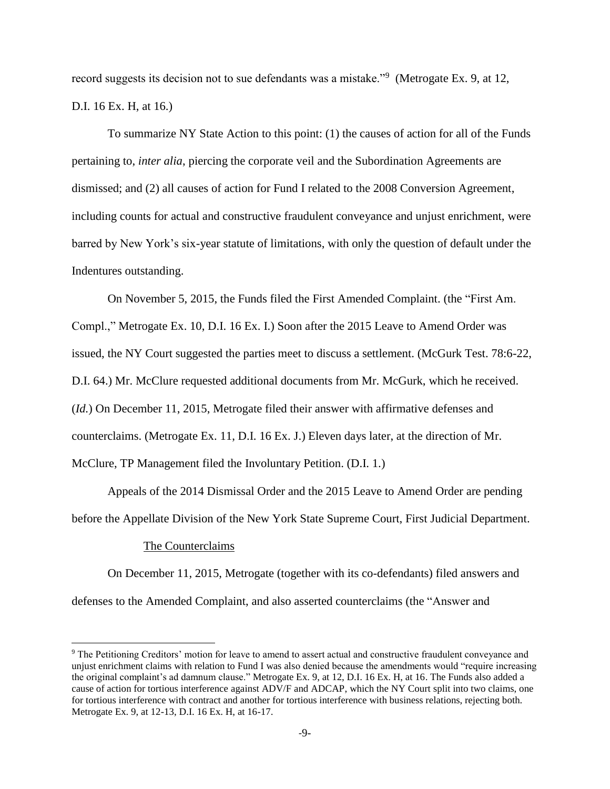record suggests its decision not to sue defendants was a mistake."<sup>9</sup> (Metrogate Ex. 9, at 12, D.I. 16 Ex. H, at 16.)

To summarize NY State Action to this point: (1) the causes of action for all of the Funds pertaining to, *inter alia*, piercing the corporate veil and the Subordination Agreements are dismissed; and (2) all causes of action for Fund I related to the 2008 Conversion Agreement, including counts for actual and constructive fraudulent conveyance and unjust enrichment, were barred by New York's six-year statute of limitations, with only the question of default under the Indentures outstanding.

On November 5, 2015, the Funds filed the First Amended Complaint. (the "First Am. Compl.," Metrogate Ex. 10, D.I. 16 Ex. I.) Soon after the 2015 Leave to Amend Order was issued, the NY Court suggested the parties meet to discuss a settlement. (McGurk Test. 78:6-22, D.I. 64.) Mr. McClure requested additional documents from Mr. McGurk, which he received. (*Id.*) On December 11, 2015, Metrogate filed their answer with affirmative defenses and counterclaims. (Metrogate Ex. 11, D.I. 16 Ex. J.) Eleven days later, at the direction of Mr. McClure, TP Management filed the Involuntary Petition. (D.I. 1.)

Appeals of the 2014 Dismissal Order and the 2015 Leave to Amend Order are pending before the Appellate Division of the New York State Supreme Court, First Judicial Department.

#### The Counterclaims

l

On December 11, 2015, Metrogate (together with its co-defendants) filed answers and defenses to the Amended Complaint, and also asserted counterclaims (the "Answer and

<sup>9</sup> The Petitioning Creditors' motion for leave to amend to assert actual and constructive fraudulent conveyance and unjust enrichment claims with relation to Fund I was also denied because the amendments would "require increasing the original complaint's ad damnum clause." Metrogate Ex. 9, at 12, D.I. 16 Ex. H, at 16. The Funds also added a cause of action for tortious interference against ADV/F and ADCAP, which the NY Court split into two claims, one for tortious interference with contract and another for tortious interference with business relations, rejecting both. Metrogate Ex. 9, at 12-13, D.I. 16 Ex. H, at 16-17.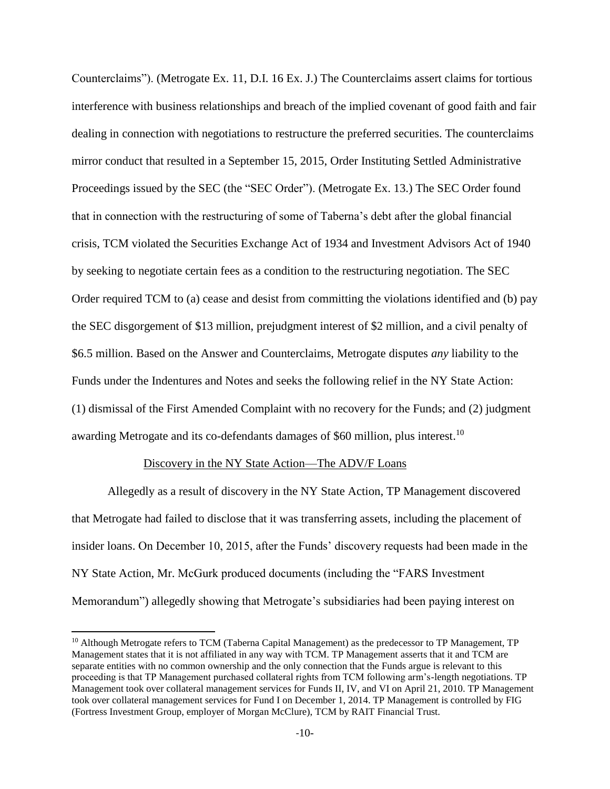Counterclaims"). (Metrogate Ex. 11, D.I. 16 Ex. J.) The Counterclaims assert claims for tortious interference with business relationships and breach of the implied covenant of good faith and fair dealing in connection with negotiations to restructure the preferred securities. The counterclaims mirror conduct that resulted in a September 15, 2015, Order Instituting Settled Administrative Proceedings issued by the SEC (the "SEC Order"). (Metrogate Ex. 13.) The SEC Order found that in connection with the restructuring of some of Taberna's debt after the global financial crisis, TCM violated the Securities Exchange Act of 1934 and Investment Advisors Act of 1940 by seeking to negotiate certain fees as a condition to the restructuring negotiation. The SEC Order required TCM to (a) cease and desist from committing the violations identified and (b) pay the SEC disgorgement of \$13 million, prejudgment interest of \$2 million, and a civil penalty of \$6.5 million. Based on the Answer and Counterclaims, Metrogate disputes *any* liability to the Funds under the Indentures and Notes and seeks the following relief in the NY State Action: (1) dismissal of the First Amended Complaint with no recovery for the Funds; and (2) judgment awarding Metrogate and its co-defendants damages of \$60 million, plus interest.<sup>10</sup>

#### Discovery in the NY State Action—The ADV/F Loans

 $\overline{\phantom{a}}$ 

Allegedly as a result of discovery in the NY State Action, TP Management discovered that Metrogate had failed to disclose that it was transferring assets, including the placement of insider loans. On December 10, 2015, after the Funds' discovery requests had been made in the NY State Action, Mr. McGurk produced documents (including the "FARS Investment Memorandum") allegedly showing that Metrogate's subsidiaries had been paying interest on

<sup>&</sup>lt;sup>10</sup> Although Metrogate refers to TCM (Taberna Capital Management) as the predecessor to TP Management, TP Management states that it is not affiliated in any way with TCM. TP Management asserts that it and TCM are separate entities with no common ownership and the only connection that the Funds argue is relevant to this proceeding is that TP Management purchased collateral rights from TCM following arm's-length negotiations. TP Management took over collateral management services for Funds II, IV, and VI on April 21, 2010. TP Management took over collateral management services for Fund I on December 1, 2014. TP Management is controlled by FIG (Fortress Investment Group, employer of Morgan McClure), TCM by RAIT Financial Trust.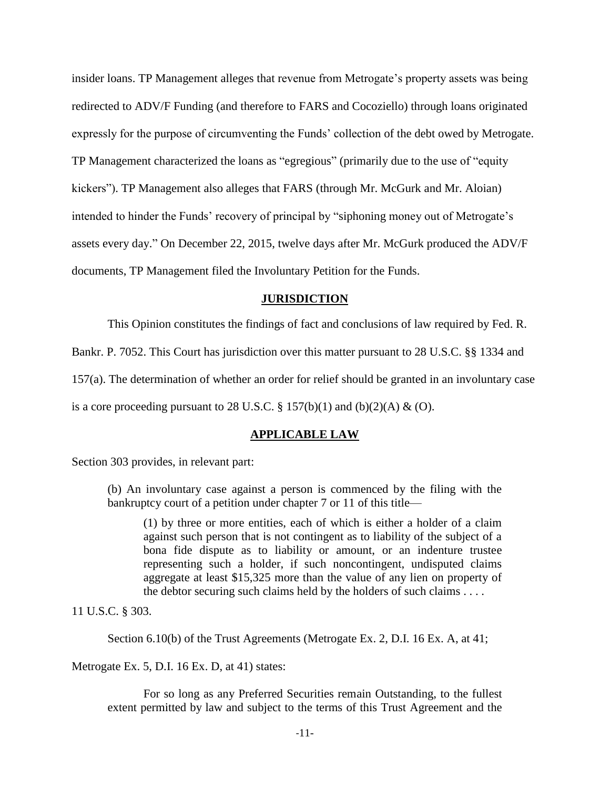insider loans. TP Management alleges that revenue from Metrogate's property assets was being redirected to ADV/F Funding (and therefore to FARS and Cocoziello) through loans originated expressly for the purpose of circumventing the Funds' collection of the debt owed by Metrogate. TP Management characterized the loans as "egregious" (primarily due to the use of "equity kickers"). TP Management also alleges that FARS (through Mr. McGurk and Mr. Aloian) intended to hinder the Funds' recovery of principal by "siphoning money out of Metrogate's assets every day." On December 22, 2015, twelve days after Mr. McGurk produced the ADV/F documents, TP Management filed the Involuntary Petition for the Funds.

#### **JURISDICTION**

This Opinion constitutes the findings of fact and conclusions of law required by Fed. R.

Bankr. P. 7052. This Court has jurisdiction over this matter pursuant to 28 U.S.C. §§ 1334 and

157(a). The determination of whether an order for relief should be granted in an involuntary case

is a core proceeding pursuant to 28 U.S.C.  $\S 157(b)(1)$  and  $(b)(2)(A) \& (O)$ .

#### **APPLICABLE LAW**

Section 303 provides, in relevant part:

(b) An involuntary case against a person is commenced by the filing with the bankruptcy court of a petition under chapter 7 or 11 of this title—

(1) by three or more entities, each of which is either a holder of a claim against such person that is not contingent as to liability of the subject of a bona fide dispute as to liability or amount, or an indenture trustee representing such a holder, if such noncontingent, undisputed claims aggregate at least \$15,325 more than the value of any lien on property of the debtor securing such claims held by the holders of such claims . . . .

11 U.S.C. § 303.

Section 6.10(b) of the Trust Agreements (Metrogate Ex. 2, D.I. 16 Ex. A, at 41;

Metrogate Ex. 5, D.I. 16 Ex. D, at 41) states:

For so long as any Preferred Securities remain Outstanding, to the fullest extent permitted by law and subject to the terms of this Trust Agreement and the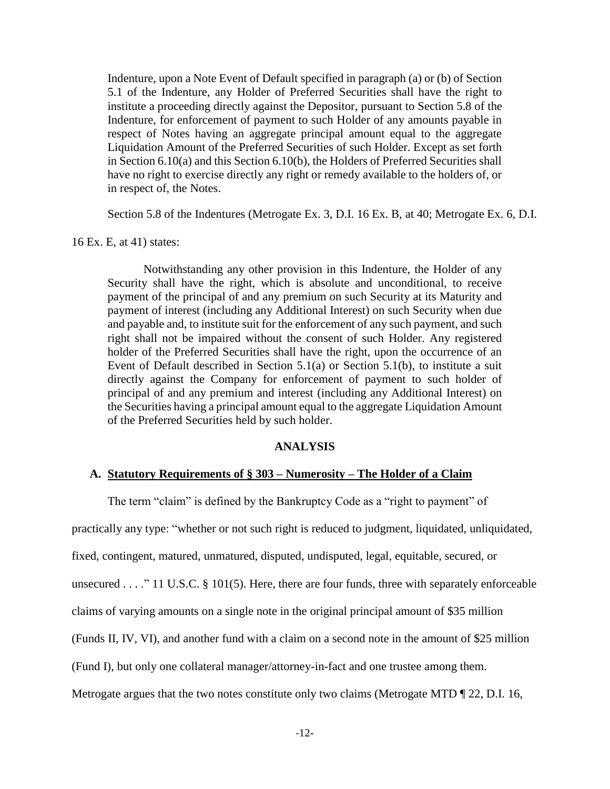Indenture, upon a Note Event of Default specified in paragraph (a) or (b) of Section 5.1 of the Indenture, any Holder of Preferred Securities shall have the right to institute a proceeding directly against the Depositor, pursuant to Section 5.8 of the Indenture, for enforcement of payment to such Holder of any amounts payable in respect of Notes having an aggregate principal amount equal to the aggregate Liquidation Amount of the Preferred Securities of such Holder. Except as set forth in Section 6.10(a) and this Section 6.10(b), the Holders of Preferred Securities shall have no right to exercise directly any right or remedy available to the holders of, or in respect of, the Notes.

Section 5.8 of the Indentures (Metrogate Ex. 3, D.I. 16 Ex. B, at 40; Metrogate Ex. 6, D.I.

16 Ex. E, at 41) states:

Notwithstanding any other provision in this Indenture, the Holder of any Security shall have the right, which is absolute and unconditional, to receive payment of the principal of and any premium on such Security at its Maturity and payment of interest (including any Additional Interest) on such Security when due and payable and, to institute suit for the enforcement of any such payment, and such right shall not be impaired without the consent of such Holder. Any registered holder of the Preferred Securities shall have the right, upon the occurrence of an Event of Default described in Section 5.1(a) or Section 5.1(b), to institute a suit directly against the Company for enforcement of payment to such holder of principal of and any premium and interest (including any Additional Interest) on the Securities having a principal amount equal to the aggregate Liquidation Amount of the Preferred Securities held by such holder.

## **ANALYSIS**

#### **A. Statutory Requirements of § 303 – Numerosity – The Holder of a Claim**

The term "claim" is defined by the Bankruptcy Code as a "right to payment" of

practically any type: "whether or not such right is reduced to judgment, liquidated, unliquidated, fixed, contingent, matured, unmatured, disputed, undisputed, legal, equitable, secured, or unsecured . . . . " 11 U.S.C. § 101(5). Here, there are four funds, three with separately enforceable claims of varying amounts on a single note in the original principal amount of \$35 million (Funds II, IV, VI), and another fund with a claim on a second note in the amount of \$25 million (Fund I), but only one collateral manager/attorney-in-fact and one trustee among them. Metrogate argues that the two notes constitute only two claims (Metrogate MTD ¶ 22, D.I. 16,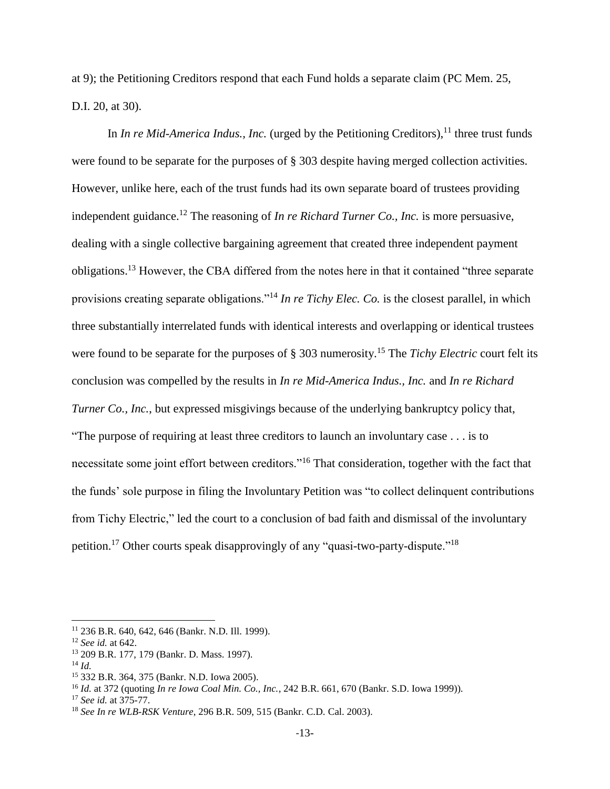at 9); the Petitioning Creditors respond that each Fund holds a separate claim (PC Mem. 25, D.I. 20, at 30).

In *In re Mid-America Indus., Inc.* (urged by the Petitioning Creditors),<sup>11</sup> three trust funds were found to be separate for the purposes of § 303 despite having merged collection activities. However, unlike here, each of the trust funds had its own separate board of trustees providing independent guidance. <sup>12</sup> The reasoning of *In re Richard Turner Co., Inc.* is more persuasive, dealing with a single collective bargaining agreement that created three independent payment obligations.<sup>13</sup> However, the CBA differed from the notes here in that it contained "three separate provisions creating separate obligations."<sup>14</sup> *In re Tichy Elec. Co.* is the closest parallel, in which three substantially interrelated funds with identical interests and overlapping or identical trustees were found to be separate for the purposes of § 303 numerosity.<sup>15</sup> The *Tichy Electric* court felt its conclusion was compelled by the results in *In re Mid-America Indus., Inc.* and *In re Richard Turner Co., Inc.,* but expressed misgivings because of the underlying bankruptcy policy that, "The purpose of requiring at least three creditors to launch an involuntary case . . . is to necessitate some joint effort between creditors."<sup>16</sup> That consideration, together with the fact that the funds' sole purpose in filing the Involuntary Petition was "to collect delinquent contributions from Tichy Electric," led the court to a conclusion of bad faith and dismissal of the involuntary petition.<sup>17</sup> Other courts speak disapprovingly of any "quasi-two-party-dispute."<sup>18</sup>

<sup>11</sup> 236 B.R. 640, 642, 646 (Bankr. N.D. Ill. 1999).

<sup>12</sup> *See id.* at 642.

<sup>13</sup> 209 B.R. 177, 179 (Bankr. D. Mass. 1997).

<sup>14</sup> *Id.*

<sup>15</sup> 332 B.R. 364, 375 (Bankr. N.D. Iowa 2005).

<sup>16</sup> *Id.* at 372 (quoting *In re Iowa Coal Min. Co., Inc.*, 242 B.R. 661, 670 (Bankr. S.D. Iowa 1999)).

<sup>17</sup> *See id.* at 375-77.

<sup>18</sup> *See In re WLB-RSK Venture*, 296 B.R. 509, 515 (Bankr. C.D. Cal. 2003).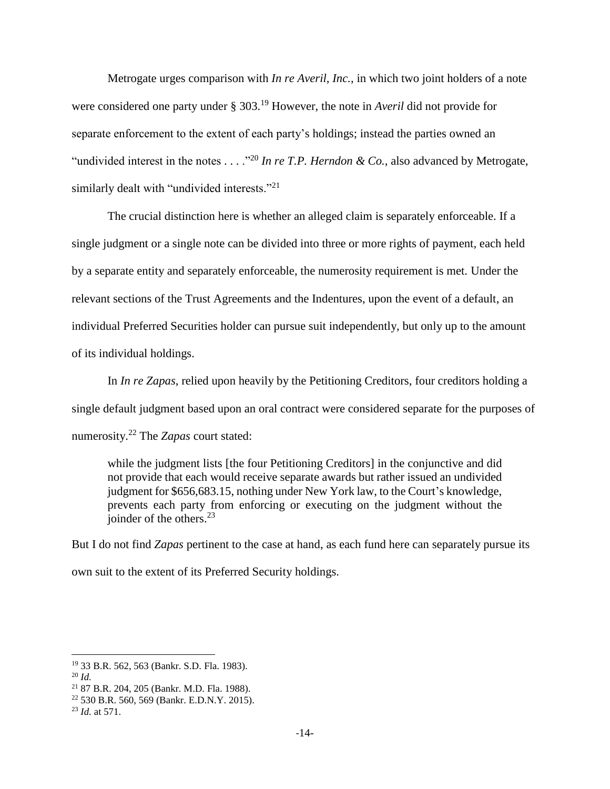Metrogate urges comparison with *In re Averil, Inc.*, in which two joint holders of a note were considered one party under § 303.<sup>19</sup> However, the note in *Averil* did not provide for separate enforcement to the extent of each party's holdings; instead the parties owned an "undivided interest in the notes . . . . "<sup>20</sup> In re T.P. Herndon & Co., also advanced by Metrogate, similarly dealt with "undivided interests."<sup>21</sup>

The crucial distinction here is whether an alleged claim is separately enforceable. If a single judgment or a single note can be divided into three or more rights of payment, each held by a separate entity and separately enforceable, the numerosity requirement is met. Under the relevant sections of the Trust Agreements and the Indentures, upon the event of a default, an individual Preferred Securities holder can pursue suit independently, but only up to the amount of its individual holdings.

In *In re Zapas*, relied upon heavily by the Petitioning Creditors, four creditors holding a single default judgment based upon an oral contract were considered separate for the purposes of numerosity.<sup>22</sup> The *Zapas* court stated:

while the judgment lists [the four Petitioning Creditors] in the conjunctive and did not provide that each would receive separate awards but rather issued an undivided judgment for \$656,683.15, nothing under New York law, to the Court's knowledge, prevents each party from enforcing or executing on the judgment without the ioinder of the others. $^{23}$ 

But I do not find *Zapas* pertinent to the case at hand, as each fund here can separately pursue its own suit to the extent of its Preferred Security holdings.

<sup>19</sup> 33 B.R. 562, 563 (Bankr. S.D. Fla. 1983).

<sup>20</sup> *Id.*

<sup>21</sup> 87 B.R. 204, 205 (Bankr. M.D. Fla. 1988).

<sup>22</sup> 530 B.R. 560, 569 (Bankr. E.D.N.Y. 2015).

<sup>23</sup> *Id.* at 571.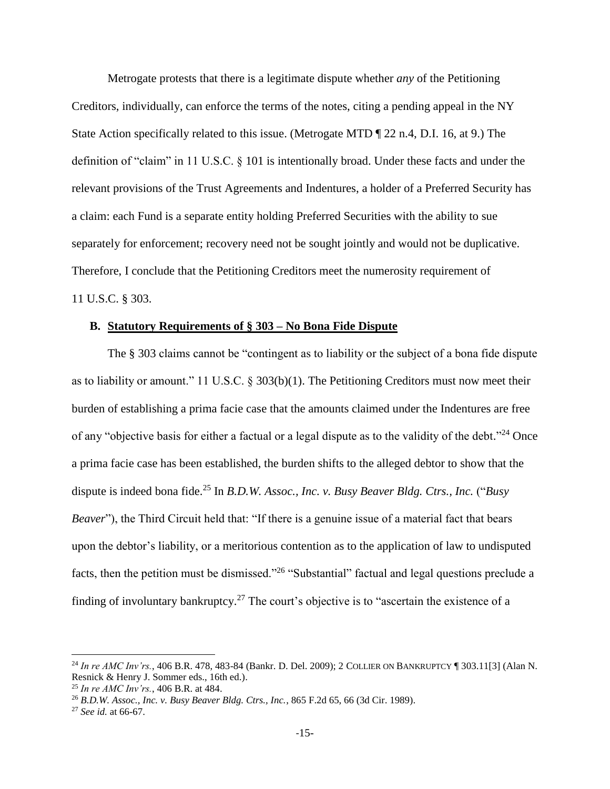Metrogate protests that there is a legitimate dispute whether *any* of the Petitioning Creditors, individually, can enforce the terms of the notes, citing a pending appeal in the NY State Action specifically related to this issue. (Metrogate MTD ¶ 22 n.4, D.I. 16, at 9.) The definition of "claim" in 11 U.S.C. § 101 is intentionally broad. Under these facts and under the relevant provisions of the Trust Agreements and Indentures, a holder of a Preferred Security has a claim: each Fund is a separate entity holding Preferred Securities with the ability to sue separately for enforcement; recovery need not be sought jointly and would not be duplicative. Therefore, I conclude that the Petitioning Creditors meet the numerosity requirement of 11 U.S.C. § 303.

## **B. Statutory Requirements of § 303 – No Bona Fide Dispute**

The § 303 claims cannot be "contingent as to liability or the subject of a bona fide dispute as to liability or amount." 11 U.S.C. § 303(b)(1). The Petitioning Creditors must now meet their burden of establishing a prima facie case that the amounts claimed under the Indentures are free of any "objective basis for either a factual or a legal dispute as to the validity of the debt."<sup>24</sup> Once a prima facie case has been established, the burden shifts to the alleged debtor to show that the dispute is indeed bona fide.<sup>25</sup> In *B.D.W. Assoc., Inc. v. Busy Beaver Bldg. Ctrs., Inc.* ("*Busy Beaver*"), the Third Circuit held that: "If there is a genuine issue of a material fact that bears upon the debtor's liability, or a meritorious contention as to the application of law to undisputed facts, then the petition must be dismissed."<sup>26</sup> "Substantial" factual and legal questions preclude a finding of involuntary bankruptcy.<sup>27</sup> The court's objective is to "ascertain the existence of a

<sup>24</sup> *In re AMC Inv'rs.*, 406 B.R. 478, 483-84 (Bankr. D. Del. 2009); 2 COLLIER ON BANKRUPTCY ¶ 303.11[3] (Alan N. Resnick & Henry J. Sommer eds., 16th ed.).

<sup>25</sup> *In re AMC Inv'rs.*, 406 B.R. at 484.

<sup>26</sup> *B.D.W. Assoc., Inc. v. Busy Beaver Bldg. Ctrs., Inc.*, 865 F.2d 65, 66 (3d Cir. 1989).

<sup>27</sup> *See id.* at 66-67.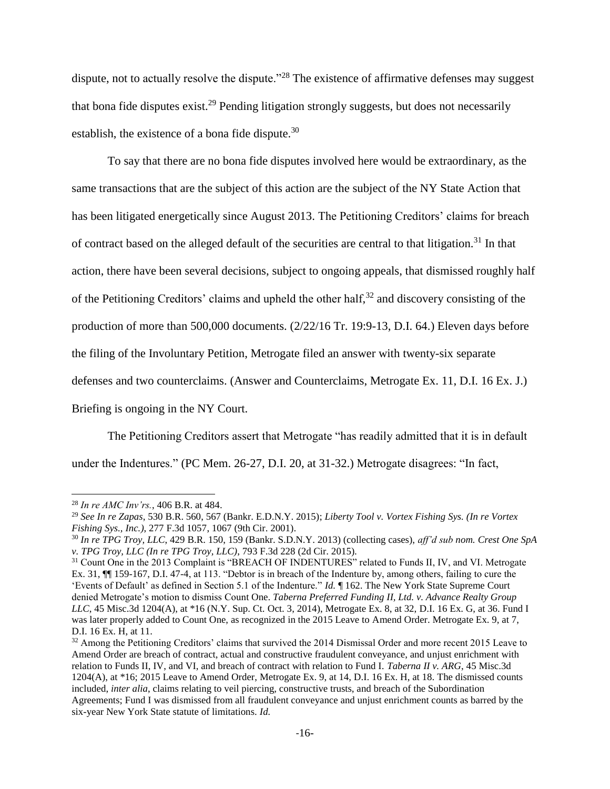dispute, not to actually resolve the dispute."<sup>28</sup> The existence of affirmative defenses may suggest that bona fide disputes exist.<sup>29</sup> Pending litigation strongly suggests, but does not necessarily establish, the existence of a bona fide dispute.<sup>30</sup>

To say that there are no bona fide disputes involved here would be extraordinary, as the same transactions that are the subject of this action are the subject of the NY State Action that has been litigated energetically since August 2013. The Petitioning Creditors' claims for breach of contract based on the alleged default of the securities are central to that litigation.<sup>31</sup> In that action, there have been several decisions, subject to ongoing appeals, that dismissed roughly half of the Petitioning Creditors' claims and upheld the other half,<sup>32</sup> and discovery consisting of the production of more than 500,000 documents. (2/22/16 Tr. 19:9-13, D.I. 64.) Eleven days before the filing of the Involuntary Petition, Metrogate filed an answer with twenty-six separate defenses and two counterclaims. (Answer and Counterclaims, Metrogate Ex. 11, D.I. 16 Ex. J.) Briefing is ongoing in the NY Court.

The Petitioning Creditors assert that Metrogate "has readily admitted that it is in default under the Indentures." (PC Mem. 26-27, D.I. 20, at 31-32.) Metrogate disagrees: "In fact,

<sup>28</sup> *In re AMC Inv'rs.*, 406 B.R. at 484.

<sup>29</sup> *See In re Zapas*, 530 B.R. 560, 567 (Bankr. E.D.N.Y. 2015); *Liberty Tool v. Vortex Fishing Sys. (In re Vortex Fishing Sys., Inc.)*, 277 F.3d 1057, 1067 (9th Cir. 2001).

<sup>30</sup> *In re TPG Troy, LLC*, 429 B.R. 150, 159 (Bankr. S.D.N.Y. 2013) (collecting cases), *aff'd sub nom. Crest One SpA v. TPG Troy, LLC (In re TPG Troy, LLC)*, 793 F.3d 228 (2d Cir. 2015).

<sup>&</sup>lt;sup>31</sup> Count One in the 2013 Complaint is "BREACH OF INDENTURES" related to Funds II, IV, and VI. Metrogate Ex. 31, ¶¶ 159-167, D.I. 47-4, at 113. "Debtor is in breach of the Indenture by, among others, failing to cure the 'Events of Default' as defined in Section 5.1 of the Indenture." *Id.* ¶ 162. The New York State Supreme Court denied Metrogate's motion to dismiss Count One. *Taberna Preferred Funding II, Ltd. v. Advance Realty Group LLC*, 45 Misc.3d 1204(A), at \*16 (N.Y. Sup. Ct. Oct. 3, 2014), Metrogate Ex. 8, at 32, D.I. 16 Ex. G, at 36. Fund I was later properly added to Count One, as recognized in the 2015 Leave to Amend Order. Metrogate Ex. 9, at 7, D.I. 16 Ex. H, at 11.

<sup>&</sup>lt;sup>32</sup> Among the Petitioning Creditors' claims that survived the 2014 Dismissal Order and more recent 2015 Leave to Amend Order are breach of contract, actual and constructive fraudulent conveyance, and unjust enrichment with relation to Funds II, IV, and VI, and breach of contract with relation to Fund I. *Taberna II v. ARG*, 45 Misc.3d 1204(A), at \*16; 2015 Leave to Amend Order, Metrogate Ex. 9, at 14, D.I. 16 Ex. H, at 18. The dismissed counts included, *inter alia*, claims relating to veil piercing, constructive trusts, and breach of the Subordination Agreements; Fund I was dismissed from all fraudulent conveyance and unjust enrichment counts as barred by the six-year New York State statute of limitations. *Id.*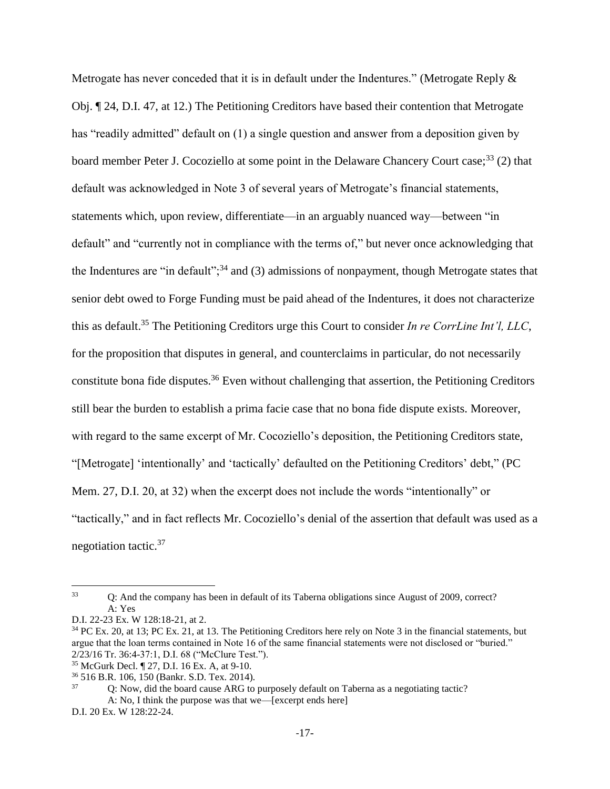Metrogate has never conceded that it is in default under the Indentures." (Metrogate Reply & Obj. ¶ 24, D.I. 47, at 12.) The Petitioning Creditors have based their contention that Metrogate has "readily admitted" default on (1) a single question and answer from a deposition given by board member Peter J. Cocoziello at some point in the Delaware Chancery Court case;<sup>33</sup> (2) that default was acknowledged in Note 3 of several years of Metrogate's financial statements, statements which, upon review, differentiate—in an arguably nuanced way—between "in default" and "currently not in compliance with the terms of," but never once acknowledging that the Indentures are "in default";  $34$  and (3) admissions of nonpayment, though Metrogate states that senior debt owed to Forge Funding must be paid ahead of the Indentures, it does not characterize this as default.<sup>35</sup> The Petitioning Creditors urge this Court to consider *In re CorrLine Int'l, LLC*, for the proposition that disputes in general, and counterclaims in particular, do not necessarily constitute bona fide disputes.<sup>36</sup> Even without challenging that assertion, the Petitioning Creditors still bear the burden to establish a prima facie case that no bona fide dispute exists. Moreover, with regard to the same excerpt of Mr. Cocoziello's deposition, the Petitioning Creditors state, "[Metrogate] 'intentionally' and 'tactically' defaulted on the Petitioning Creditors' debt," (PC Mem. 27, D.I. 20, at 32) when the excerpt does not include the words "intentionally" or "tactically," and in fact reflects Mr. Cocoziello's denial of the assertion that default was used as a negotiation tactic.<sup>37</sup>

<sup>&</sup>lt;sup>33</sup> Q: And the company has been in default of its Taberna obligations since August of 2009, correct? A: Yes

D.I. 22-23 Ex. W 128:18-21, at 2.

<sup>&</sup>lt;sup>34</sup> PC Ex. 20, at 13; PC Ex. 21, at 13. The Petitioning Creditors here rely on Note 3 in the financial statements, but argue that the loan terms contained in Note 16 of the same financial statements were not disclosed or "buried." 2/23/16 Tr. 36:4-37:1, D.I. 68 ("McClure Test.").

<sup>35</sup> McGurk Decl. ¶ 27, D.I. 16 Ex. A, at 9-10.

 $\frac{36}{16}$  516 B.R. 106, 150 (Bankr. S.D. Tex. 2014).<br> $\frac{37}{10}$  O: Now did the board cause ARG to

<sup>37</sup> Q: Now, did the board cause ARG to purposely default on Taberna as a negotiating tactic? A: No, I think the purpose was that we—[excerpt ends here]

D.I. 20 Ex. W 128:22-24.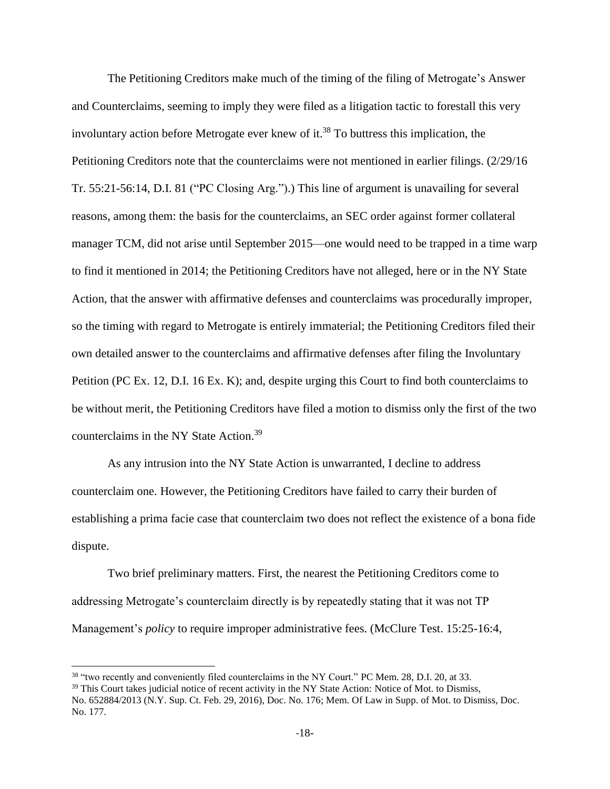The Petitioning Creditors make much of the timing of the filing of Metrogate's Answer and Counterclaims, seeming to imply they were filed as a litigation tactic to forestall this very involuntary action before Metrogate ever knew of it. <sup>38</sup> To buttress this implication, the Petitioning Creditors note that the counterclaims were not mentioned in earlier filings. (2/29/16 Tr. 55:21-56:14, D.I. 81 ("PC Closing Arg.").) This line of argument is unavailing for several reasons, among them: the basis for the counterclaims, an SEC order against former collateral manager TCM, did not arise until September 2015—one would need to be trapped in a time warp to find it mentioned in 2014; the Petitioning Creditors have not alleged, here or in the NY State Action, that the answer with affirmative defenses and counterclaims was procedurally improper, so the timing with regard to Metrogate is entirely immaterial; the Petitioning Creditors filed their own detailed answer to the counterclaims and affirmative defenses after filing the Involuntary Petition (PC Ex. 12, D.I. 16 Ex. K); and, despite urging this Court to find both counterclaims to be without merit, the Petitioning Creditors have filed a motion to dismiss only the first of the two counterclaims in the NY State Action.<sup>39</sup>

As any intrusion into the NY State Action is unwarranted, I decline to address counterclaim one. However, the Petitioning Creditors have failed to carry their burden of establishing a prima facie case that counterclaim two does not reflect the existence of a bona fide dispute.

Two brief preliminary matters. First, the nearest the Petitioning Creditors come to addressing Metrogate's counterclaim directly is by repeatedly stating that it was not TP Management's *policy* to require improper administrative fees. (McClure Test. 15:25-16:4,

<sup>&</sup>lt;sup>38</sup> "two recently and conveniently filed counterclaims in the NY Court." PC Mem. 28, D.I. 20, at 33.

<sup>&</sup>lt;sup>39</sup> This Court takes judicial notice of recent activity in the NY State Action: Notice of Mot. to Dismiss,

No. 652884/2013 (N.Y. Sup. Ct. Feb. 29, 2016), Doc. No. 176; Mem. Of Law in Supp. of Mot. to Dismiss, Doc. No. 177.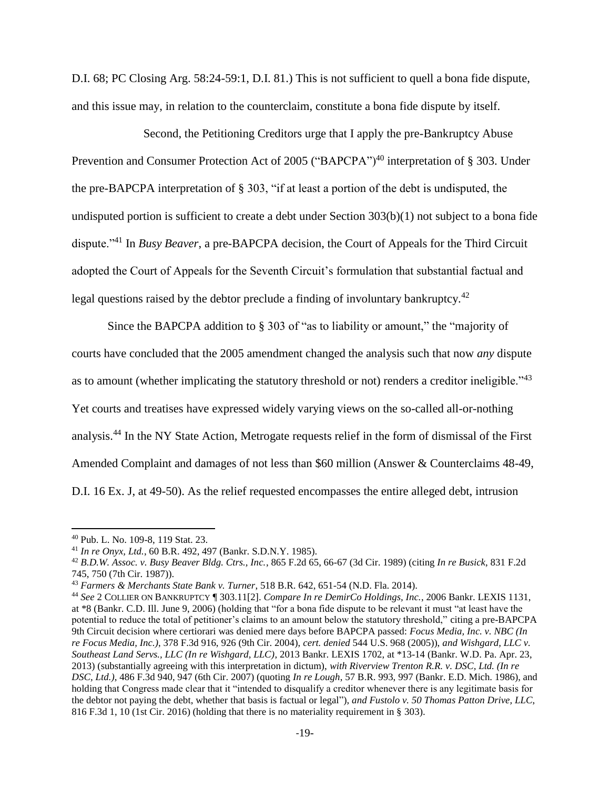D.I. 68; PC Closing Arg. 58:24-59:1, D.I. 81.) This is not sufficient to quell a bona fide dispute, and this issue may, in relation to the counterclaim, constitute a bona fide dispute by itself.

Second, the Petitioning Creditors urge that I apply the pre-Bankruptcy Abuse Prevention and Consumer Protection Act of 2005 ("BAPCPA")<sup>40</sup> interpretation of § 303. Under the pre-BAPCPA interpretation of § 303, "if at least a portion of the debt is undisputed, the undisputed portion is sufficient to create a debt under Section 303(b)(1) not subject to a bona fide dispute."<sup>41</sup> In *Busy Beaver*, a pre-BAPCPA decision, the Court of Appeals for the Third Circuit adopted the Court of Appeals for the Seventh Circuit's formulation that substantial factual and legal questions raised by the debtor preclude a finding of involuntary bankruptcy.<sup>42</sup>

Since the BAPCPA addition to § 303 of "as to liability or amount," the "majority of courts have concluded that the 2005 amendment changed the analysis such that now *any* dispute as to amount (whether implicating the statutory threshold or not) renders a creditor ineligible.<sup>43</sup> Yet courts and treatises have expressed widely varying views on the so-called all-or-nothing analysis.<sup>44</sup> In the NY State Action, Metrogate requests relief in the form of dismissal of the First Amended Complaint and damages of not less than \$60 million (Answer & Counterclaims 48-49, D.I. 16 Ex. J, at 49-50). As the relief requested encompasses the entire alleged debt, intrusion

<sup>40</sup> Pub. L. No. 109-8, 119 Stat. 23.

<sup>41</sup> *In re Onyx, Ltd.*, 60 B.R. 492, 497 (Bankr. S.D.N.Y. 1985).

<sup>42</sup> *B.D.W. Assoc. v. Busy Beaver Bldg. Ctrs., Inc.*, 865 F.2d 65, 66-67 (3d Cir. 1989) (citing *In re Busick*, 831 F.2d 745, 750 (7th Cir. 1987)).

<sup>43</sup> *Farmers & Merchants State Bank v. Turner*, 518 B.R. 642, 651-54 (N.D. Fla. 2014).

<sup>44</sup> *See* 2 COLLIER ON BANKRUPTCY ¶ 303.11[2]. *Compare In re DemirCo Holdings, Inc.*, 2006 Bankr. LEXIS 1131, at \*8 (Bankr. C.D. Ill. June 9, 2006) (holding that "for a bona fide dispute to be relevant it must "at least have the potential to reduce the total of petitioner's claims to an amount below the statutory threshold," citing a pre-BAPCPA 9th Circuit decision where certiorari was denied mere days before BAPCPA passed: *Focus Media, Inc. v. NBC (In re Focus Media, Inc.)*, 378 F.3d 916, 926 (9th Cir. 2004), *cert. denied* 544 U.S. 968 (2005)), *and Wishgard, LLC v. Southeast Land Servs., LLC (In re Wishgard, LLC)*, 2013 Bankr. LEXIS 1702, at \*13-14 (Bankr. W.D. Pa. Apr. 23, 2013) (substantially agreeing with this interpretation in dictum), *with Riverview Trenton R.R. v. DSC, Ltd. (In re DSC, Ltd.)*, 486 F.3d 940, 947 (6th Cir. 2007) (quoting *In re Lough*, 57 B.R. 993, 997 (Bankr. E.D. Mich. 1986), and holding that Congress made clear that it "intended to disqualify a creditor whenever there is any legitimate basis for the debtor not paying the debt, whether that basis is factual or legal"), *and Fustolo v. 50 Thomas Patton Drive, LLC*, 816 F.3d 1, 10 (1st Cir. 2016) (holding that there is no materiality requirement in § 303).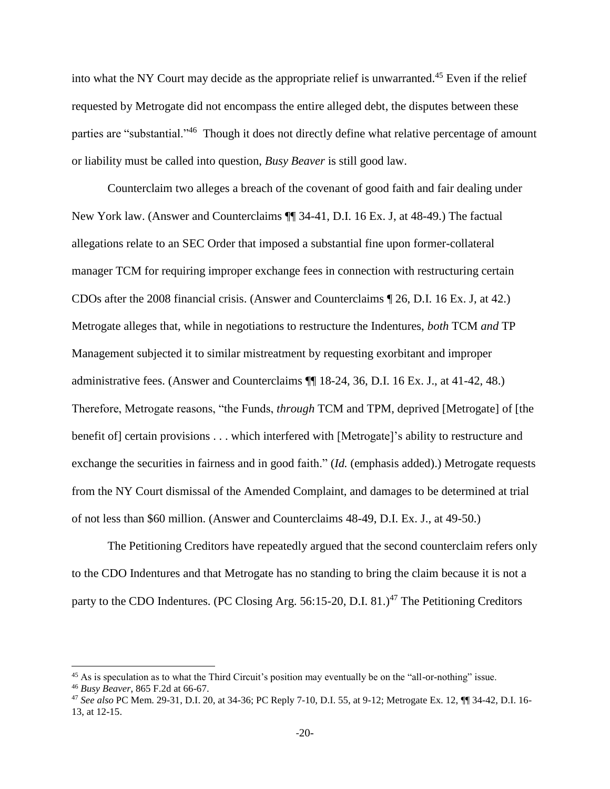into what the NY Court may decide as the appropriate relief is unwarranted.<sup>45</sup> Even if the relief requested by Metrogate did not encompass the entire alleged debt, the disputes between these parties are "substantial."<sup>46</sup> Though it does not directly define what relative percentage of amount or liability must be called into question, *Busy Beaver* is still good law.

Counterclaim two alleges a breach of the covenant of good faith and fair dealing under New York law. (Answer and Counterclaims ¶¶ 34-41, D.I. 16 Ex. J, at 48-49.) The factual allegations relate to an SEC Order that imposed a substantial fine upon former-collateral manager TCM for requiring improper exchange fees in connection with restructuring certain CDOs after the 2008 financial crisis. (Answer and Counterclaims ¶ 26, D.I. 16 Ex. J, at 42.) Metrogate alleges that, while in negotiations to restructure the Indentures, *both* TCM *and* TP Management subjected it to similar mistreatment by requesting exorbitant and improper administrative fees. (Answer and Counterclaims ¶¶ 18-24, 36, D.I. 16 Ex. J., at 41-42, 48.) Therefore, Metrogate reasons, "the Funds, *through* TCM and TPM, deprived [Metrogate] of [the benefit of] certain provisions . . . which interfered with [Metrogate]'s ability to restructure and exchange the securities in fairness and in good faith." (*Id.* (emphasis added).) Metrogate requests from the NY Court dismissal of the Amended Complaint, and damages to be determined at trial of not less than \$60 million. (Answer and Counterclaims 48-49, D.I. Ex. J., at 49-50.)

The Petitioning Creditors have repeatedly argued that the second counterclaim refers only to the CDO Indentures and that Metrogate has no standing to bring the claim because it is not a party to the CDO Indentures. (PC Closing Arg. 56:15-20, D.I. 81.)<sup>47</sup> The Petitioning Creditors

<sup>&</sup>lt;sup>45</sup> As is speculation as to what the Third Circuit's position may eventually be on the "all-or-nothing" issue. <sup>46</sup> *Busy Beaver*, 865 F.2d at 66-67.

<sup>47</sup> *See also* PC Mem. 29-31, D.I. 20, at 34-36; PC Reply 7-10, D.I. 55, at 9-12; Metrogate Ex. 12, ¶¶ 34-42, D.I. 16- 13, at 12-15.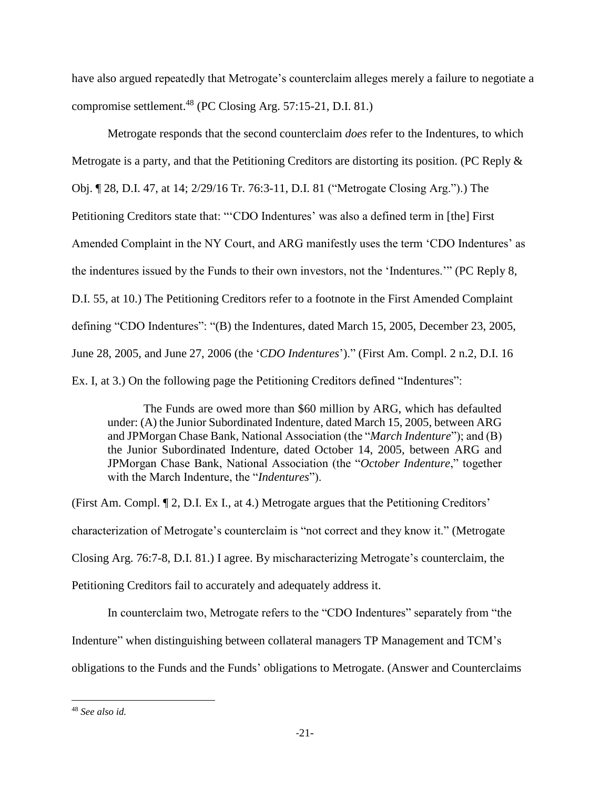have also argued repeatedly that Metrogate's counterclaim alleges merely a failure to negotiate a compromise settlement. <sup>48</sup> (PC Closing Arg. 57:15-21, D.I. 81.)

Metrogate responds that the second counterclaim *does* refer to the Indentures, to which Metrogate is a party, and that the Petitioning Creditors are distorting its position. (PC Reply & Obj. ¶ 28, D.I. 47, at 14; 2/29/16 Tr. 76:3-11, D.I. 81 ("Metrogate Closing Arg.").) The Petitioning Creditors state that: "'CDO Indentures' was also a defined term in [the] First Amended Complaint in the NY Court, and ARG manifestly uses the term 'CDO Indentures' as the indentures issued by the Funds to their own investors, not the 'Indentures.'" (PC Reply 8, D.I. 55, at 10.) The Petitioning Creditors refer to a footnote in the First Amended Complaint defining "CDO Indentures": "(B) the Indentures, dated March 15, 2005, December 23, 2005, June 28, 2005, and June 27, 2006 (the '*CDO Indentures*')." (First Am. Compl. 2 n.2, D.I. 16 Ex. I, at 3.) On the following page the Petitioning Creditors defined "Indentures":

The Funds are owed more than \$60 million by ARG, which has defaulted under: (A) the Junior Subordinated Indenture, dated March 15, 2005, between ARG and JPMorgan Chase Bank, National Association (the "*March Indenture*"); and (B) the Junior Subordinated Indenture, dated October 14, 2005, between ARG and JPMorgan Chase Bank, National Association (the "*October Indenture*," together with the March Indenture, the "*Indentures*").

(First Am. Compl. ¶ 2, D.I. Ex I., at 4.) Metrogate argues that the Petitioning Creditors' characterization of Metrogate's counterclaim is "not correct and they know it." (Metrogate Closing Arg. 76:7-8, D.I. 81.) I agree. By mischaracterizing Metrogate's counterclaim, the Petitioning Creditors fail to accurately and adequately address it.

In counterclaim two, Metrogate refers to the "CDO Indentures" separately from "the Indenture" when distinguishing between collateral managers TP Management and TCM's obligations to the Funds and the Funds' obligations to Metrogate. (Answer and Counterclaims

<sup>48</sup> *See also id.*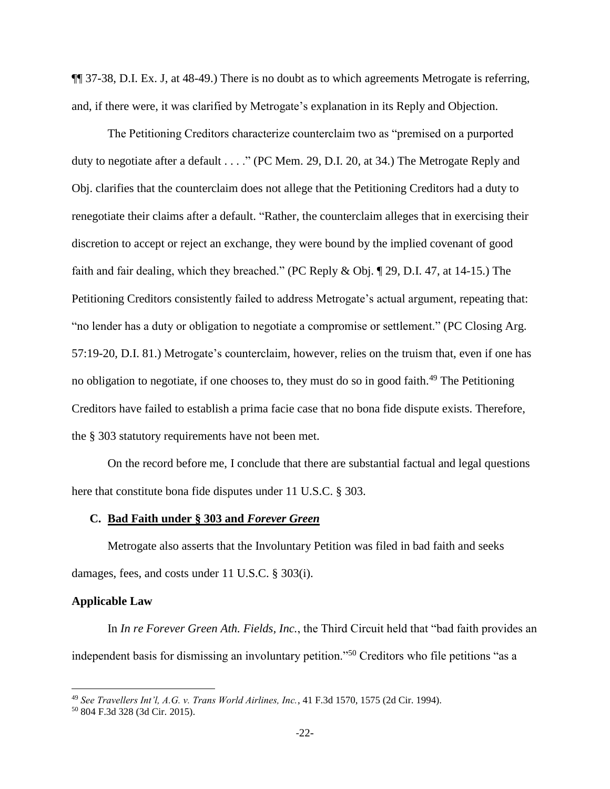¶¶ 37-38, D.I. Ex. J, at 48-49.) There is no doubt as to which agreements Metrogate is referring, and, if there were, it was clarified by Metrogate's explanation in its Reply and Objection.

The Petitioning Creditors characterize counterclaim two as "premised on a purported duty to negotiate after a default . . . ." (PC Mem. 29, D.I. 20, at 34.) The Metrogate Reply and Obj. clarifies that the counterclaim does not allege that the Petitioning Creditors had a duty to renegotiate their claims after a default. "Rather, the counterclaim alleges that in exercising their discretion to accept or reject an exchange, they were bound by the implied covenant of good faith and fair dealing, which they breached." (PC Reply & Obj. ¶ 29, D.I. 47, at 14-15.) The Petitioning Creditors consistently failed to address Metrogate's actual argument, repeating that: "no lender has a duty or obligation to negotiate a compromise or settlement." (PC Closing Arg. 57:19-20, D.I. 81.) Metrogate's counterclaim, however, relies on the truism that, even if one has no obligation to negotiate, if one chooses to, they must do so in good faith.<sup>49</sup> The Petitioning Creditors have failed to establish a prima facie case that no bona fide dispute exists. Therefore, the § 303 statutory requirements have not been met.

On the record before me, I conclude that there are substantial factual and legal questions here that constitute bona fide disputes under 11 U.S.C. § 303.

### **C. Bad Faith under § 303 and** *Forever Green*

Metrogate also asserts that the Involuntary Petition was filed in bad faith and seeks damages, fees, and costs under 11 U.S.C. § 303(i).

# **Applicable Law**

 $\overline{\phantom{a}}$ 

In *In re Forever Green Ath. Fields, Inc.*, the Third Circuit held that "bad faith provides an independent basis for dismissing an involuntary petition."<sup>50</sup> Creditors who file petitions "as a

<sup>49</sup> *See Travellers Int'l, A.G. v. Trans World Airlines, Inc.*, 41 F.3d 1570, 1575 (2d Cir. 1994).

<sup>50</sup> 804 F.3d 328 (3d Cir. 2015).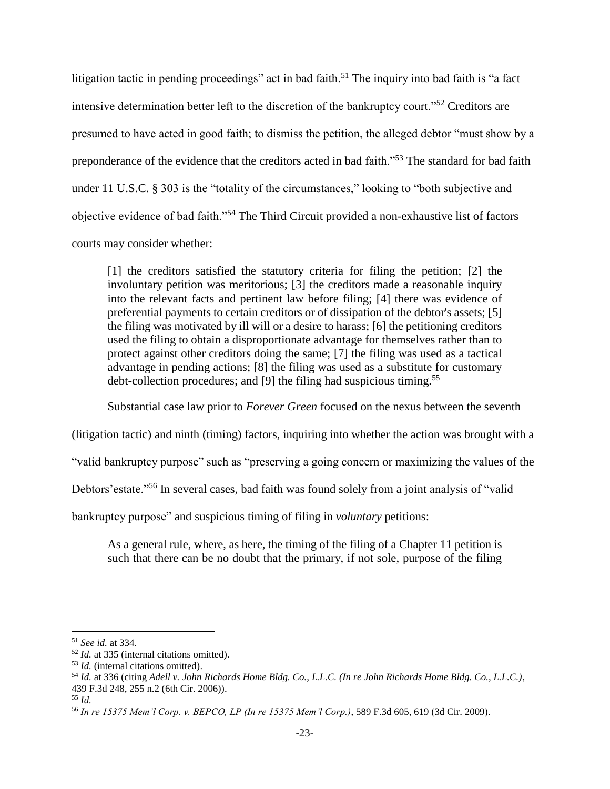litigation tactic in pending proceedings" act in bad faith.<sup>51</sup> The inquiry into bad faith is "a fact" intensive determination better left to the discretion of the bankruptcy court."<sup>52</sup> Creditors are presumed to have acted in good faith; to dismiss the petition, the alleged debtor "must show by a preponderance of the evidence that the creditors acted in bad faith."<sup>53</sup> The standard for bad faith under 11 U.S.C. § 303 is the "totality of the circumstances," looking to "both subjective and objective evidence of bad faith."<sup>54</sup> The Third Circuit provided a non-exhaustive list of factors courts may consider whether:

[1] the creditors satisfied the statutory criteria for filing the petition; [2] the involuntary petition was meritorious; [3] the creditors made a reasonable inquiry into the relevant facts and pertinent law before filing; [4] there was evidence of preferential payments to certain creditors or of dissipation of the debtor's assets; [5] the filing was motivated by ill will or a desire to harass; [6] the petitioning creditors used the filing to obtain a disproportionate advantage for themselves rather than to protect against other creditors doing the same; [7] the filing was used as a tactical advantage in pending actions; [8] the filing was used as a substitute for customary debt-collection procedures; and [9] the filing had suspicious timing.<sup>55</sup>

Substantial case law prior to *Forever Green* focused on the nexus between the seventh

(litigation tactic) and ninth (timing) factors, inquiring into whether the action was brought with a

"valid bankruptcy purpose" such as "preserving a going concern or maximizing the values of the

Debtors' estate."<sup>56</sup> In several cases, bad faith was found solely from a joint analysis of "valid"

bankruptcy purpose" and suspicious timing of filing in *voluntary* petitions:

As a general rule, where, as here, the timing of the filing of a Chapter 11 petition is such that there can be no doubt that the primary, if not sole, purpose of the filing

<sup>51</sup> *See id.* at 334.

<sup>52</sup> *Id.* at 335 (internal citations omitted).

<sup>53</sup> *Id.* (internal citations omitted).

<sup>54</sup> *Id.* at 336 (citing *Adell v. John Richards Home Bldg. Co., L.L.C. (In re John Richards Home Bldg. Co., L.L.C.)*, 439 F.3d 248, 255 n.2 (6th Cir. 2006)).

<sup>55</sup> *Id.*

<sup>56</sup> *In re 15375 Mem'l Corp. v. BEPCO, LP (In re 15375 Mem'l Corp.)*, 589 F.3d 605, 619 (3d Cir. 2009).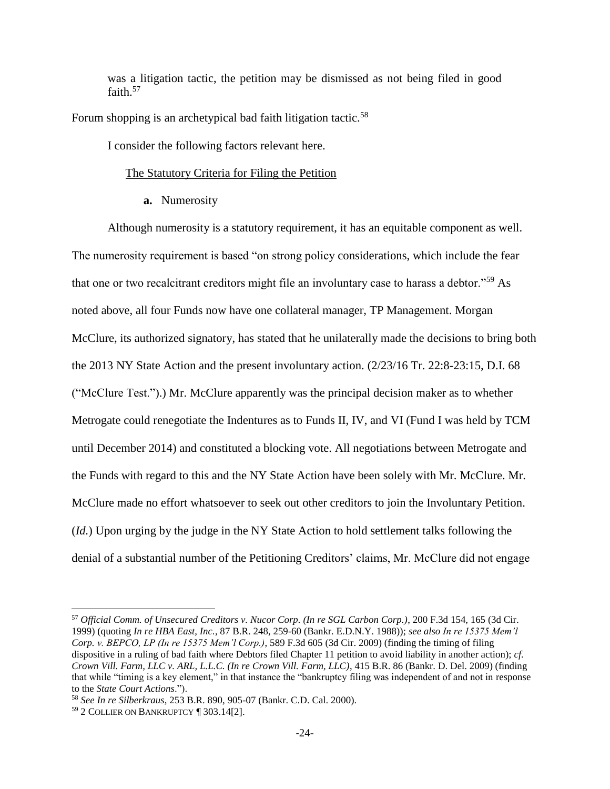was a litigation tactic, the petition may be dismissed as not being filed in good faith.<sup>57</sup>

Forum shopping is an archetypical bad faith litigation tactic.<sup>58</sup>

I consider the following factors relevant here.

## The Statutory Criteria for Filing the Petition

**a.** Numerosity

Although numerosity is a statutory requirement, it has an equitable component as well. The numerosity requirement is based "on strong policy considerations, which include the fear that one or two recalcitrant creditors might file an involuntary case to harass a debtor."<sup>59</sup> As noted above, all four Funds now have one collateral manager, TP Management. Morgan McClure, its authorized signatory, has stated that he unilaterally made the decisions to bring both the 2013 NY State Action and the present involuntary action. (2/23/16 Tr. 22:8-23:15, D.I. 68 ("McClure Test.").) Mr. McClure apparently was the principal decision maker as to whether Metrogate could renegotiate the Indentures as to Funds II, IV, and VI (Fund I was held by TCM until December 2014) and constituted a blocking vote. All negotiations between Metrogate and the Funds with regard to this and the NY State Action have been solely with Mr. McClure. Mr. McClure made no effort whatsoever to seek out other creditors to join the Involuntary Petition. (*Id.*) Upon urging by the judge in the NY State Action to hold settlement talks following the denial of a substantial number of the Petitioning Creditors' claims, Mr. McClure did not engage

<sup>57</sup> *Official Comm. of Unsecured Creditors v. Nucor Corp. (In re SGL Carbon Corp.)*, 200 F.3d 154, 165 (3d Cir. 1999) (quoting *In re HBA East, Inc.*, 87 B.R. 248, 259-60 (Bankr. E.D.N.Y. 1988)); *see also In re 15375 Mem'l Corp. v. BEPCO, LP (In re 15375 Mem'l Corp.)*, 589 F.3d 605 (3d Cir. 2009) (finding the timing of filing dispositive in a ruling of bad faith where Debtors filed Chapter 11 petition to avoid liability in another action); *cf. Crown Vill. Farm, LLC v. ARL, L.L.C. (In re Crown Vill. Farm, LLC)*, 415 B.R. 86 (Bankr. D. Del. 2009) (finding that while "timing is a key element," in that instance the "bankruptcy filing was independent of and not in response to the *State Court Actions*.").

<sup>58</sup> *See In re Silberkraus*, 253 B.R. 890, 905-07 (Bankr. C.D. Cal. 2000).

<sup>59</sup> 2 COLLIER ON BANKRUPTCY ¶ 303.14[2].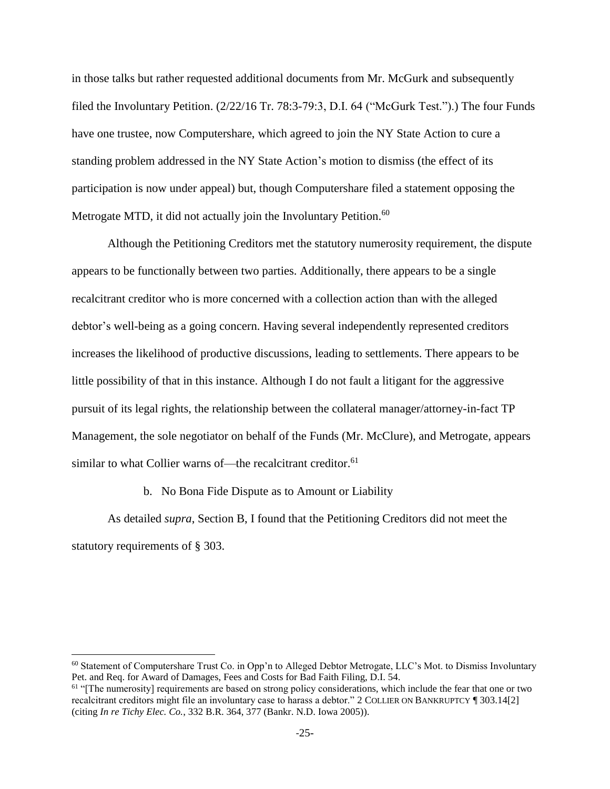in those talks but rather requested additional documents from Mr. McGurk and subsequently filed the Involuntary Petition. (2/22/16 Tr. 78:3-79:3, D.I. 64 ("McGurk Test.").) The four Funds have one trustee, now Computershare, which agreed to join the NY State Action to cure a standing problem addressed in the NY State Action's motion to dismiss (the effect of its participation is now under appeal) but, though Computershare filed a statement opposing the Metrogate MTD, it did not actually join the Involuntary Petition.<sup>60</sup>

Although the Petitioning Creditors met the statutory numerosity requirement, the dispute appears to be functionally between two parties. Additionally, there appears to be a single recalcitrant creditor who is more concerned with a collection action than with the alleged debtor's well-being as a going concern. Having several independently represented creditors increases the likelihood of productive discussions, leading to settlements. There appears to be little possibility of that in this instance. Although I do not fault a litigant for the aggressive pursuit of its legal rights, the relationship between the collateral manager/attorney-in-fact TP Management, the sole negotiator on behalf of the Funds (Mr. McClure), and Metrogate, appears similar to what Collier warns of—the recalcitrant creditor.<sup>61</sup>

b. No Bona Fide Dispute as to Amount or Liability

 $\overline{a}$ 

As detailed *supra*, Section B, I found that the Petitioning Creditors did not meet the statutory requirements of § 303.

<sup>60</sup> Statement of Computershare Trust Co. in Opp'n to Alleged Debtor Metrogate, LLC's Mot. to Dismiss Involuntary Pet. and Req. for Award of Damages, Fees and Costs for Bad Faith Filing, D.I. 54.

 $<sup>61</sup>$  "[The numerosity] requirements are based on strong policy considerations, which include the fear that one or two</sup> recalcitrant creditors might file an involuntary case to harass a debtor." 2 COLLIER ON BANKRUPTCY ¶ 303.14[2] (citing *In re Tichy Elec. Co.*, 332 B.R. 364, 377 (Bankr. N.D. Iowa 2005)).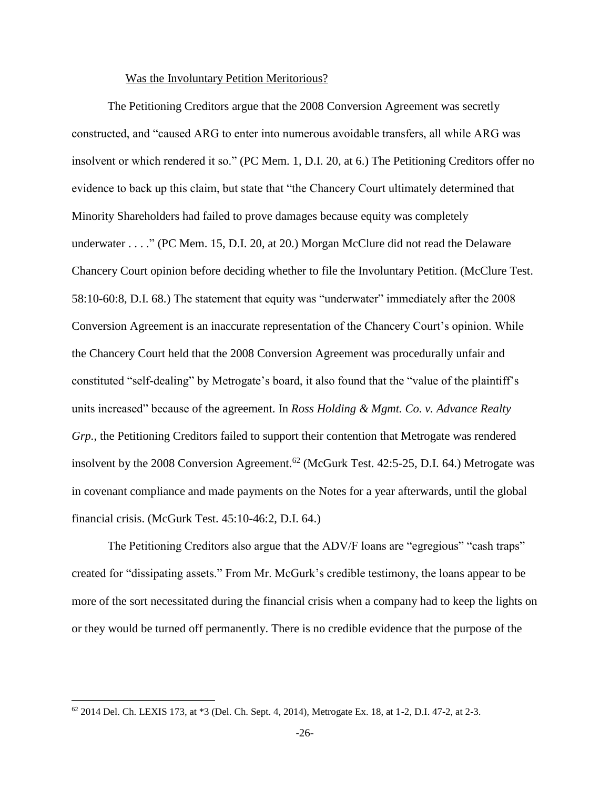#### Was the Involuntary Petition Meritorious?

The Petitioning Creditors argue that the 2008 Conversion Agreement was secretly constructed, and "caused ARG to enter into numerous avoidable transfers, all while ARG was insolvent or which rendered it so." (PC Mem. 1, D.I. 20, at 6.) The Petitioning Creditors offer no evidence to back up this claim, but state that "the Chancery Court ultimately determined that Minority Shareholders had failed to prove damages because equity was completely underwater . . . ." (PC Mem. 15, D.I. 20, at 20.) Morgan McClure did not read the Delaware Chancery Court opinion before deciding whether to file the Involuntary Petition. (McClure Test. 58:10-60:8, D.I. 68.) The statement that equity was "underwater" immediately after the 2008 Conversion Agreement is an inaccurate representation of the Chancery Court's opinion. While the Chancery Court held that the 2008 Conversion Agreement was procedurally unfair and constituted "self-dealing" by Metrogate's board, it also found that the "value of the plaintiff's units increased" because of the agreement. In *Ross Holding & Mgmt. Co. v. Advance Realty Grp.*, the Petitioning Creditors failed to support their contention that Metrogate was rendered insolvent by the 2008 Conversion Agreement.<sup>62</sup> (McGurk Test. 42:5-25, D.I. 64.) Metrogate was in covenant compliance and made payments on the Notes for a year afterwards, until the global financial crisis. (McGurk Test. 45:10-46:2, D.I. 64.)

The Petitioning Creditors also argue that the ADV/F loans are "egregious" "cash traps" created for "dissipating assets." From Mr. McGurk's credible testimony, the loans appear to be more of the sort necessitated during the financial crisis when a company had to keep the lights on or they would be turned off permanently. There is no credible evidence that the purpose of the

<sup>62</sup> 2014 Del. Ch. LEXIS 173, at \*3 (Del. Ch. Sept. 4, 2014), Metrogate Ex. 18, at 1-2, D.I. 47-2, at 2-3.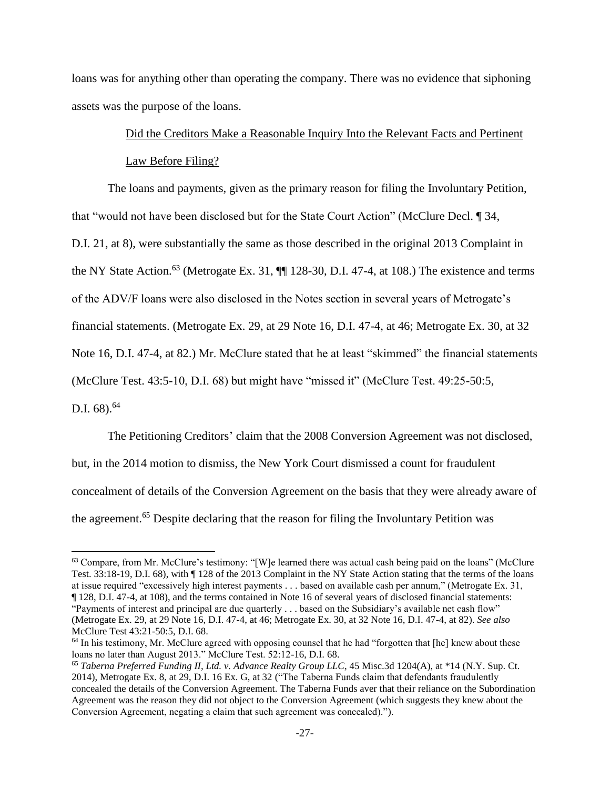loans was for anything other than operating the company. There was no evidence that siphoning assets was the purpose of the loans.

# Did the Creditors Make a Reasonable Inquiry Into the Relevant Facts and Pertinent Law Before Filing?

The loans and payments, given as the primary reason for filing the Involuntary Petition, that "would not have been disclosed but for the State Court Action" (McClure Decl. ¶ 34,

D.I. 21, at 8), were substantially the same as those described in the original 2013 Complaint in

the NY State Action.<sup>63</sup> (Metrogate Ex. 31,  $\P\P$  128-30, D.I. 47-4, at 108.) The existence and terms

of the ADV/F loans were also disclosed in the Notes section in several years of Metrogate's

financial statements. (Metrogate Ex. 29, at 29 Note 16, D.I. 47-4, at 46; Metrogate Ex. 30, at 32

Note 16, D.I. 47-4, at 82.) Mr. McClure stated that he at least "skimmed" the financial statements

(McClure Test. 43:5-10, D.I. 68) but might have "missed it" (McClure Test. 49:25-50:5,

D.I.  $68$ ).<sup>64</sup>

 $\overline{a}$ 

The Petitioning Creditors' claim that the 2008 Conversion Agreement was not disclosed, but, in the 2014 motion to dismiss, the New York Court dismissed a count for fraudulent concealment of details of the Conversion Agreement on the basis that they were already aware of the agreement.<sup>65</sup> Despite declaring that the reason for filing the Involuntary Petition was

<sup>&</sup>lt;sup>63</sup> Compare, from Mr. McClure's testimony: "[W]e learned there was actual cash being paid on the loans" (McClure Test. 33:18-19, D.I. 68), with ¶ 128 of the 2013 Complaint in the NY State Action stating that the terms of the loans at issue required "excessively high interest payments . . . based on available cash per annum," (Metrogate Ex. 31, ¶ 128, D.I. 47-4, at 108), and the terms contained in Note 16 of several years of disclosed financial statements:

<sup>&</sup>quot;Payments of interest and principal are due quarterly . . . based on the Subsidiary's available net cash flow" (Metrogate Ex. 29, at 29 Note 16, D.I. 47-4, at 46; Metrogate Ex. 30, at 32 Note 16, D.I. 47-4, at 82). *See also* McClure Test 43:21-50:5, D.I. 68.

<sup>&</sup>lt;sup>64</sup> In his testimony, Mr. McClure agreed with opposing counsel that he had "forgotten that [he] knew about these loans no later than August 2013." McClure Test. 52:12-16, D.I. 68.

<sup>65</sup> *Taberna Preferred Funding II, Ltd. v. Advance Realty Group LLC*, 45 Misc.3d 1204(A), at \*14 (N.Y. Sup. Ct. 2014), Metrogate Ex. 8, at 29, D.I. 16 Ex. G, at 32 ("The Taberna Funds claim that defendants fraudulently concealed the details of the Conversion Agreement. The Taberna Funds aver that their reliance on the Subordination Agreement was the reason they did not object to the Conversion Agreement (which suggests they knew about the Conversion Agreement, negating a claim that such agreement was concealed).").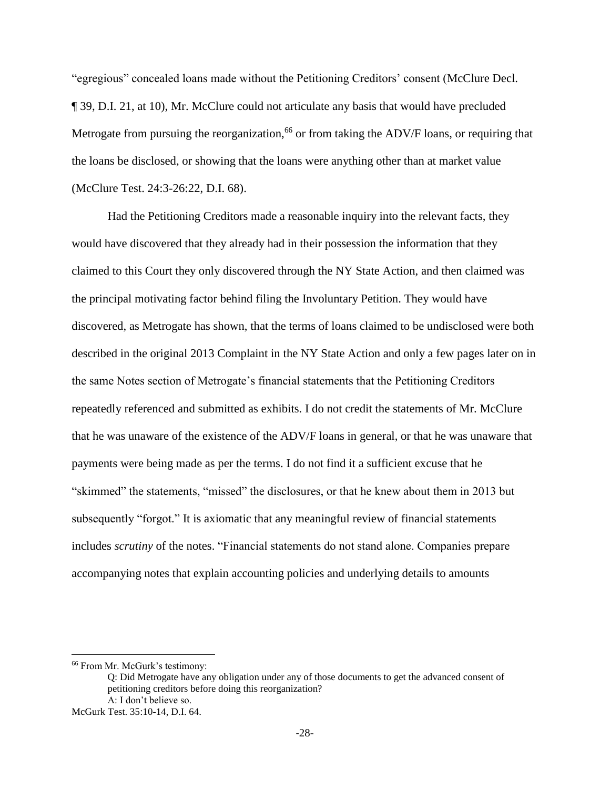"egregious" concealed loans made without the Petitioning Creditors' consent (McClure Decl. ¶ 39, D.I. 21, at 10), Mr. McClure could not articulate any basis that would have precluded Metrogate from pursuing the reorganization,<sup>66</sup> or from taking the ADV/F loans, or requiring that the loans be disclosed, or showing that the loans were anything other than at market value (McClure Test. 24:3-26:22, D.I. 68).

Had the Petitioning Creditors made a reasonable inquiry into the relevant facts, they would have discovered that they already had in their possession the information that they claimed to this Court they only discovered through the NY State Action, and then claimed was the principal motivating factor behind filing the Involuntary Petition. They would have discovered, as Metrogate has shown, that the terms of loans claimed to be undisclosed were both described in the original 2013 Complaint in the NY State Action and only a few pages later on in the same Notes section of Metrogate's financial statements that the Petitioning Creditors repeatedly referenced and submitted as exhibits. I do not credit the statements of Mr. McClure that he was unaware of the existence of the ADV/F loans in general, or that he was unaware that payments were being made as per the terms. I do not find it a sufficient excuse that he "skimmed" the statements, "missed" the disclosures, or that he knew about them in 2013 but subsequently "forgot." It is axiomatic that any meaningful review of financial statements includes *scrutiny* of the notes. "Financial statements do not stand alone. Companies prepare accompanying notes that explain accounting policies and underlying details to amounts

<sup>66</sup> From Mr. McGurk's testimony:

Q: Did Metrogate have any obligation under any of those documents to get the advanced consent of petitioning creditors before doing this reorganization? A: I don't believe so.

McGurk Test. 35:10-14, D.I. 64.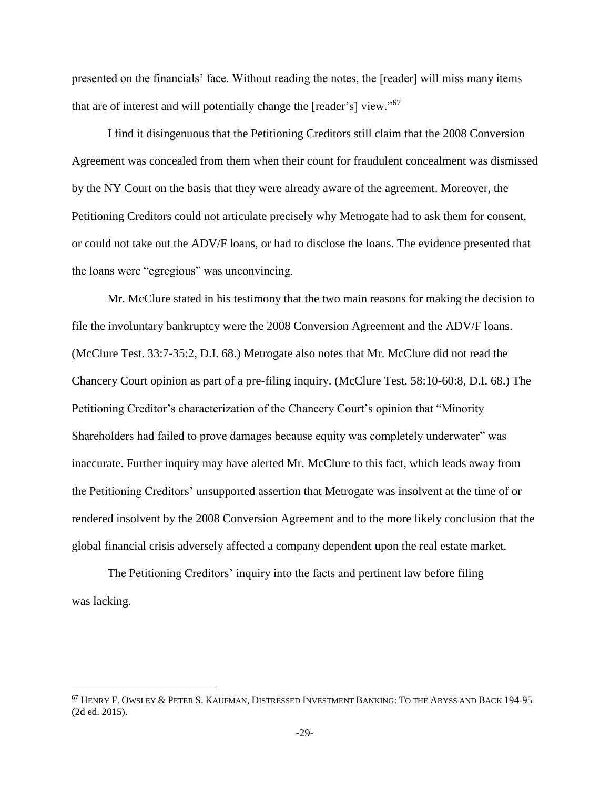presented on the financials' face. Without reading the notes, the [reader] will miss many items that are of interest and will potentially change the [reader's] view."<sup>67</sup>

I find it disingenuous that the Petitioning Creditors still claim that the 2008 Conversion Agreement was concealed from them when their count for fraudulent concealment was dismissed by the NY Court on the basis that they were already aware of the agreement. Moreover, the Petitioning Creditors could not articulate precisely why Metrogate had to ask them for consent, or could not take out the ADV/F loans, or had to disclose the loans. The evidence presented that the loans were "egregious" was unconvincing.

Mr. McClure stated in his testimony that the two main reasons for making the decision to file the involuntary bankruptcy were the 2008 Conversion Agreement and the ADV/F loans. (McClure Test. 33:7-35:2, D.I. 68.) Metrogate also notes that Mr. McClure did not read the Chancery Court opinion as part of a pre-filing inquiry. (McClure Test. 58:10-60:8, D.I. 68.) The Petitioning Creditor's characterization of the Chancery Court's opinion that "Minority Shareholders had failed to prove damages because equity was completely underwater" was inaccurate. Further inquiry may have alerted Mr. McClure to this fact, which leads away from the Petitioning Creditors' unsupported assertion that Metrogate was insolvent at the time of or rendered insolvent by the 2008 Conversion Agreement and to the more likely conclusion that the global financial crisis adversely affected a company dependent upon the real estate market.

The Petitioning Creditors' inquiry into the facts and pertinent law before filing was lacking.

<sup>67</sup> HENRY F. OWSLEY & PETER S. KAUFMAN, DISTRESSED INVESTMENT BANKING: TO THE ABYSS AND BACK 194-95 (2d ed. 2015).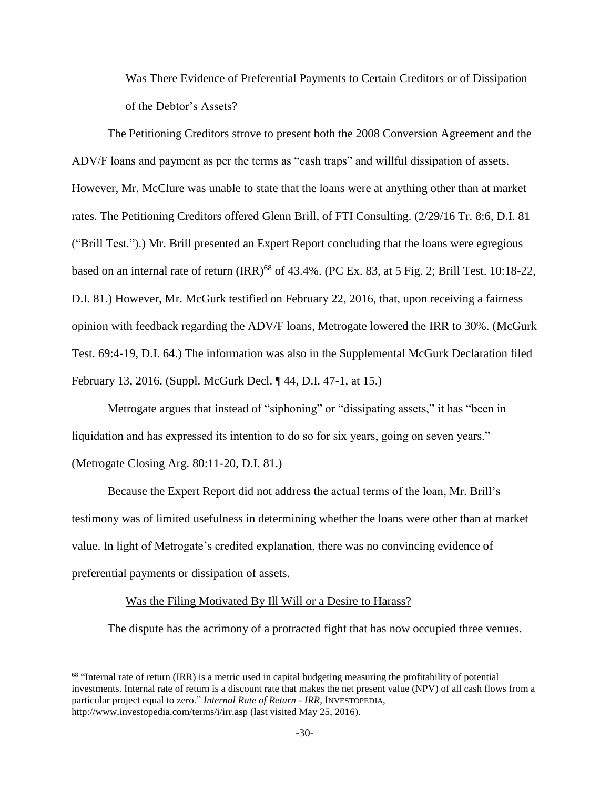# Was There Evidence of Preferential Payments to Certain Creditors or of Dissipation of the Debtor's Assets?

The Petitioning Creditors strove to present both the 2008 Conversion Agreement and the ADV/F loans and payment as per the terms as "cash traps" and willful dissipation of assets. However, Mr. McClure was unable to state that the loans were at anything other than at market rates. The Petitioning Creditors offered Glenn Brill, of FTI Consulting. (2/29/16 Tr. 8:6, D.I. 81 ("Brill Test.").) Mr. Brill presented an Expert Report concluding that the loans were egregious based on an internal rate of return (IRR)<sup>68</sup> of 43.4%. (PC Ex. 83, at 5 Fig. 2; Brill Test. 10:18-22, D.I. 81.) However, Mr. McGurk testified on February 22, 2016, that, upon receiving a fairness opinion with feedback regarding the ADV/F loans, Metrogate lowered the IRR to 30%. (McGurk Test. 69:4-19, D.I. 64.) The information was also in the Supplemental McGurk Declaration filed February 13, 2016. (Suppl. McGurk Decl. ¶ 44, D.I. 47-1, at 15.)

Metrogate argues that instead of "siphoning" or "dissipating assets," it has "been in liquidation and has expressed its intention to do so for six years, going on seven years." (Metrogate Closing Arg. 80:11-20, D.I. 81.)

Because the Expert Report did not address the actual terms of the loan, Mr. Brill's testimony was of limited usefulness in determining whether the loans were other than at market value. In light of Metrogate's credited explanation, there was no convincing evidence of preferential payments or dissipation of assets.

#### Was the Filing Motivated By Ill Will or a Desire to Harass?

 $\overline{\phantom{a}}$ 

The dispute has the acrimony of a protracted fight that has now occupied three venues.

<sup>&</sup>lt;sup>68</sup> "Internal rate of return (IRR) is a metric used in capital budgeting measuring the profitability of potential investments. Internal rate of return is a discount rate that makes the net present value (NPV) of all cash flows from a particular project equal to zero." *Internal Rate of Return - IRR*, INVESTOPEDIA, http://www.investopedia.com/terms/i/irr.asp (last visited May 25, 2016).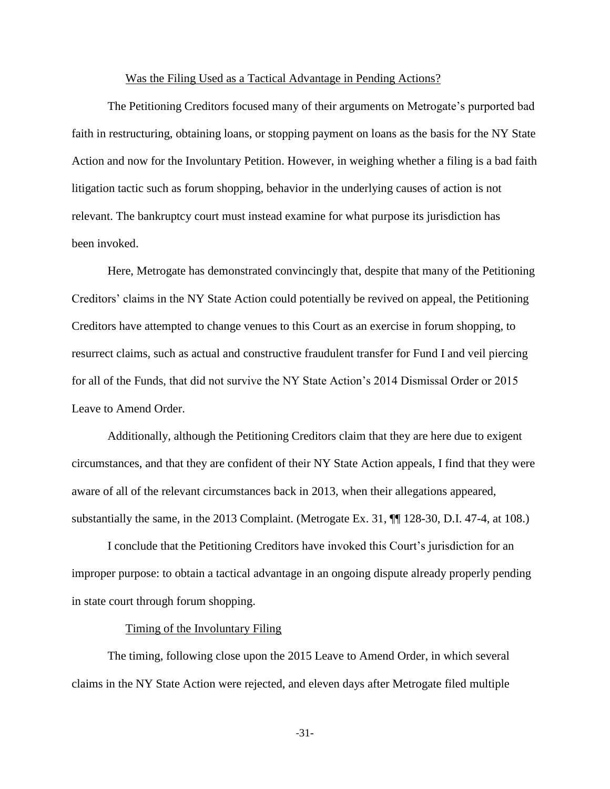#### Was the Filing Used as a Tactical Advantage in Pending Actions?

The Petitioning Creditors focused many of their arguments on Metrogate's purported bad faith in restructuring, obtaining loans, or stopping payment on loans as the basis for the NY State Action and now for the Involuntary Petition. However, in weighing whether a filing is a bad faith litigation tactic such as forum shopping, behavior in the underlying causes of action is not relevant. The bankruptcy court must instead examine for what purpose its jurisdiction has been invoked.

Here, Metrogate has demonstrated convincingly that, despite that many of the Petitioning Creditors' claims in the NY State Action could potentially be revived on appeal, the Petitioning Creditors have attempted to change venues to this Court as an exercise in forum shopping, to resurrect claims, such as actual and constructive fraudulent transfer for Fund I and veil piercing for all of the Funds, that did not survive the NY State Action's 2014 Dismissal Order or 2015 Leave to Amend Order.

Additionally, although the Petitioning Creditors claim that they are here due to exigent circumstances, and that they are confident of their NY State Action appeals, I find that they were aware of all of the relevant circumstances back in 2013, when their allegations appeared, substantially the same, in the 2013 Complaint. (Metrogate Ex. 31, ¶¶ 128-30, D.I. 47-4, at 108.)

I conclude that the Petitioning Creditors have invoked this Court's jurisdiction for an improper purpose: to obtain a tactical advantage in an ongoing dispute already properly pending in state court through forum shopping.

#### Timing of the Involuntary Filing

The timing, following close upon the 2015 Leave to Amend Order, in which several claims in the NY State Action were rejected, and eleven days after Metrogate filed multiple

-31-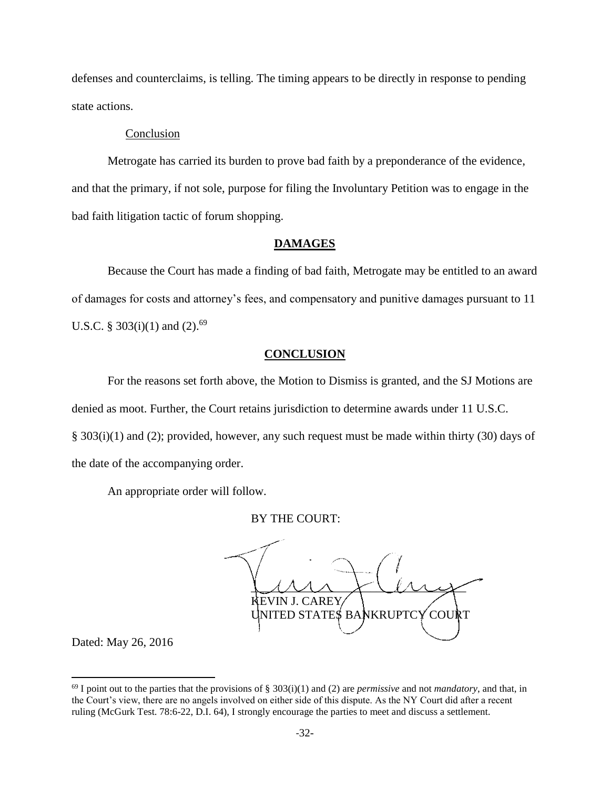defenses and counterclaims, is telling. The timing appears to be directly in response to pending state actions.

# Conclusion

Metrogate has carried its burden to prove bad faith by a preponderance of the evidence, and that the primary, if not sole, purpose for filing the Involuntary Petition was to engage in the bad faith litigation tactic of forum shopping.

## **DAMAGES**

Because the Court has made a finding of bad faith, Metrogate may be entitled to an award of damages for costs and attorney's fees, and compensatory and punitive damages pursuant to 11 U.S.C. § 303(i)(1) and (2).<sup>69</sup>

## **CONCLUSION**

For the reasons set forth above, the Motion to Dismiss is granted, and the SJ Motions are denied as moot. Further, the Court retains jurisdiction to determine awards under 11 U.S.C. § 303(i)(1) and (2); provided, however, any such request must be made within thirty (30) days of the date of the accompanying order.

An appropriate order will follow.

### BY THE COURT:

 $\cup$ Mr $\cup$ Mr $\rightarrow$ EVIN J. CAREY UNITED STATES BANKRUPTCY COURT

Dated: May 26, 2016

 $^{69}$  I point out to the parties that the provisions of § 303(i)(1) and (2) are *permissive* and not *mandatory*, and that, in the Court's view, there are no angels involved on either side of this dispute. As the NY Court did after a recent ruling (McGurk Test. 78:6-22, D.I. 64), I strongly encourage the parties to meet and discuss a settlement.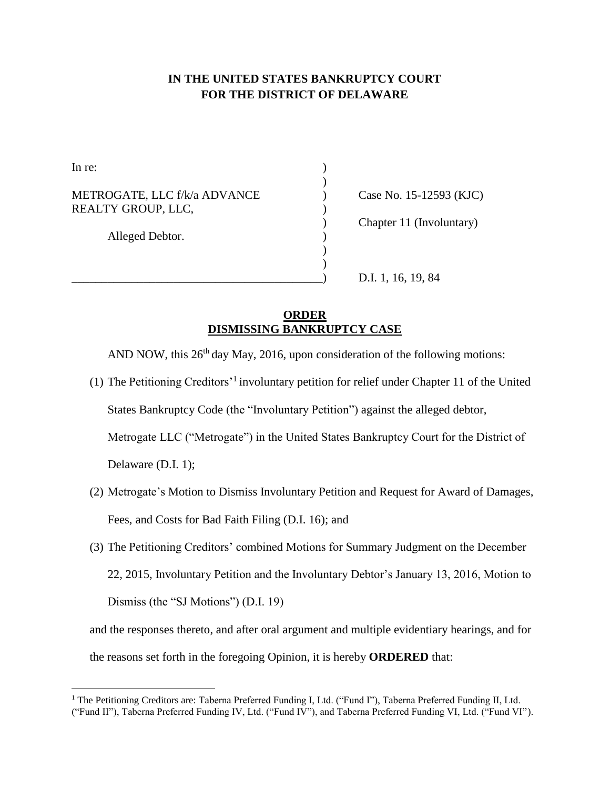# **IN THE UNITED STATES BANKRUPTCY COURT FOR THE DISTRICT OF DELAWARE**

| In re:                                             |  |
|----------------------------------------------------|--|
| METROGATE, LLC f/k/a ADVANCE<br>REALTY GROUP, LLC, |  |
| Alleged Debtor.                                    |  |
|                                                    |  |

 $\overline{\phantom{a}}$ 

Case No. 15-12593 (KJC) ) Chapter 11 (Involuntary)

\_\_\_\_\_\_\_\_\_\_\_\_\_\_\_\_\_\_\_\_\_\_\_\_\_\_\_\_\_\_\_\_\_\_\_\_\_\_\_\_\_\_) D.I. 1, 16, 19, 84

# **ORDER DISMISSING BANKRUPTCY CASE**

AND NOW, this  $26<sup>th</sup>$  day May, 2016, upon consideration of the following motions:

- (1) The Petitioning Creditors'<sup>1</sup> involuntary petition for relief under Chapter 11 of the United States Bankruptcy Code (the "Involuntary Petition") against the alleged debtor, Metrogate LLC ("Metrogate") in the United States Bankruptcy Court for the District of Delaware (D.I. 1);
- (2) Metrogate's Motion to Dismiss Involuntary Petition and Request for Award of Damages, Fees, and Costs for Bad Faith Filing (D.I. 16); and
- (3) The Petitioning Creditors' combined Motions for Summary Judgment on the December 22, 2015, Involuntary Petition and the Involuntary Debtor's January 13, 2016, Motion to Dismiss (the "SJ Motions") (D.I. 19)

and the responses thereto, and after oral argument and multiple evidentiary hearings, and for the reasons set forth in the foregoing Opinion, it is hereby **ORDERED** that:

<sup>&</sup>lt;sup>1</sup> The Petitioning Creditors are: Taberna Preferred Funding I, Ltd. ("Fund I"), Taberna Preferred Funding II, Ltd. ("Fund II"), Taberna Preferred Funding IV, Ltd. ("Fund IV"), and Taberna Preferred Funding VI, Ltd. ("Fund VI").